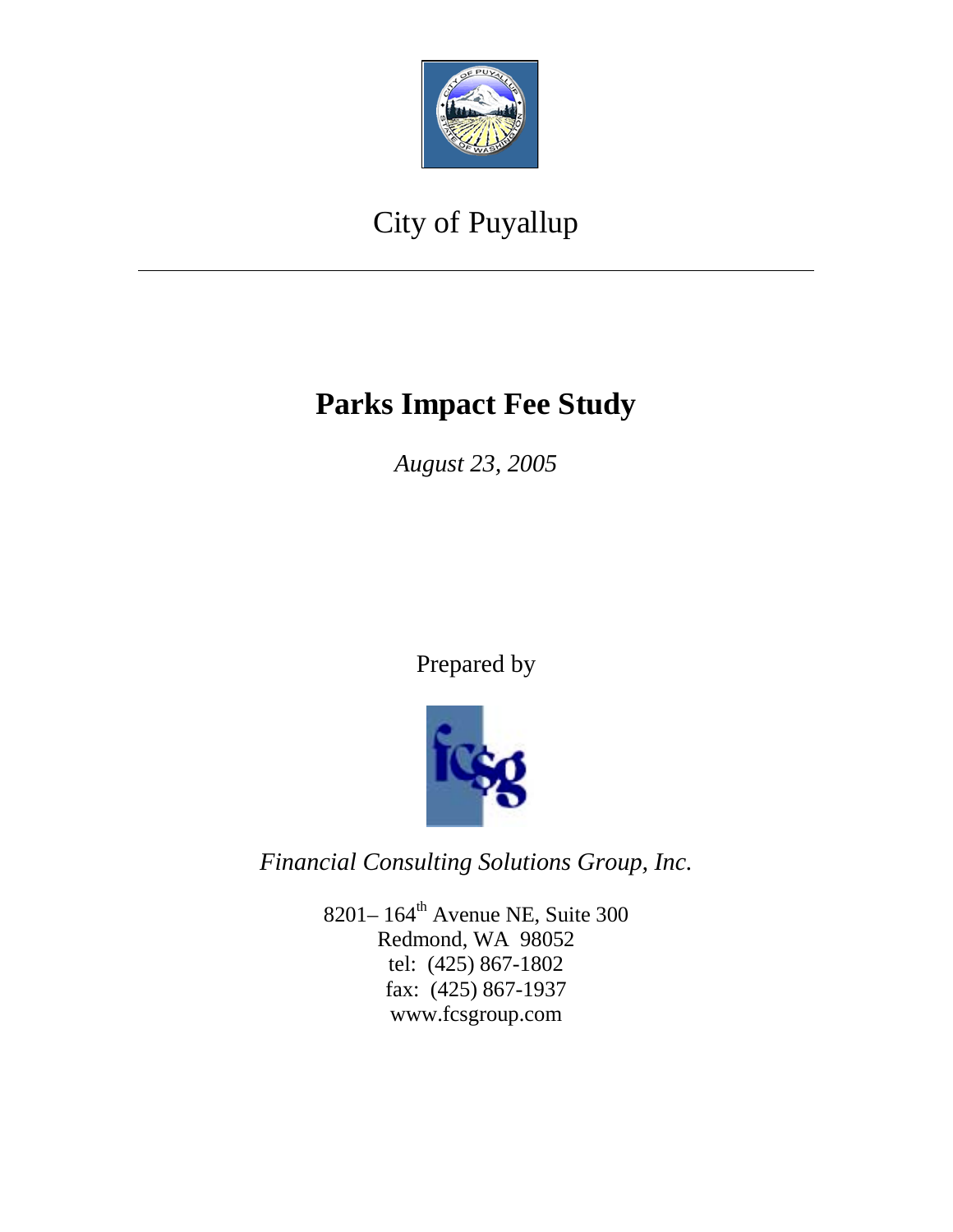

# City of Puyallup

# **Parks Impact Fee Study**

*August 23, 2005* 

Prepared by



*Financial Consulting Solutions Group, Inc.* 

8201–164<sup>th</sup> Avenue NE, Suite 300 Redmond, WA 98052 tel: (425) 867-1802 fax: (425) 867-1937 www.fcsgroup.com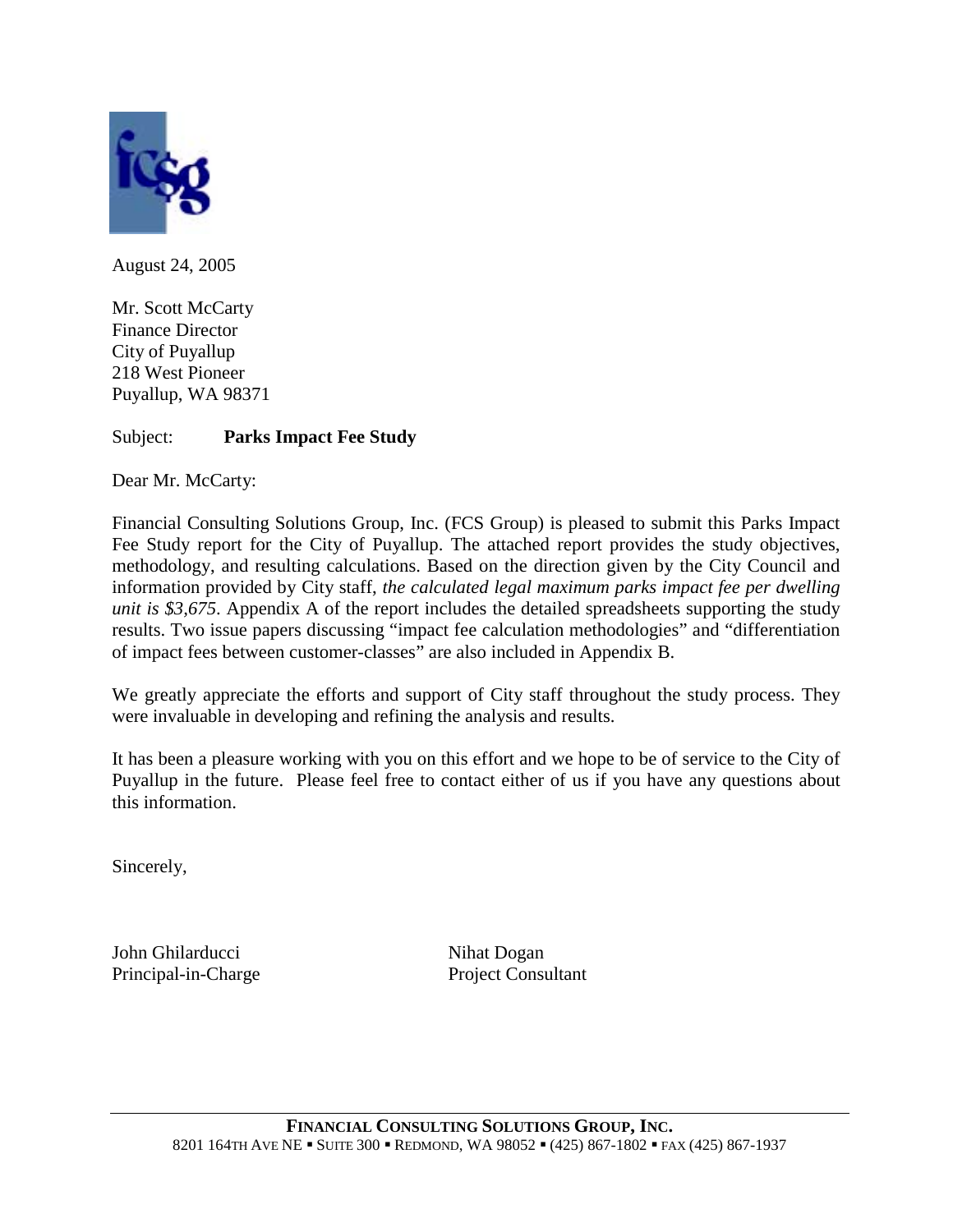

August 24, 2005

Mr. Scott McCarty Finance Director City of Puyallup 218 West Pioneer Puyallup, WA 98371

#### Subject: **Parks Impact Fee Study**

Dear Mr. McCarty:

Financial Consulting Solutions Group, Inc. (FCS Group) is pleased to submit this Parks Impact Fee Study report for the City of Puyallup. The attached report provides the study objectives, methodology, and resulting calculations. Based on the direction given by the City Council and information provided by City staff, *the calculated legal maximum parks impact fee per dwelling unit is \$3,675*. Appendix A of the report includes the detailed spreadsheets supporting the study results. Two issue papers discussing "impact fee calculation methodologies" and "differentiation of impact fees between customer-classes" are also included in Appendix B.

We greatly appreciate the efforts and support of City staff throughout the study process. They were invaluable in developing and refining the analysis and results.

It has been a pleasure working with you on this effort and we hope to be of service to the City of Puyallup in the future. Please feel free to contact either of us if you have any questions about this information.

Sincerely,

John Ghilarducci Nihat Dogan Principal-in-Charge Project Consultant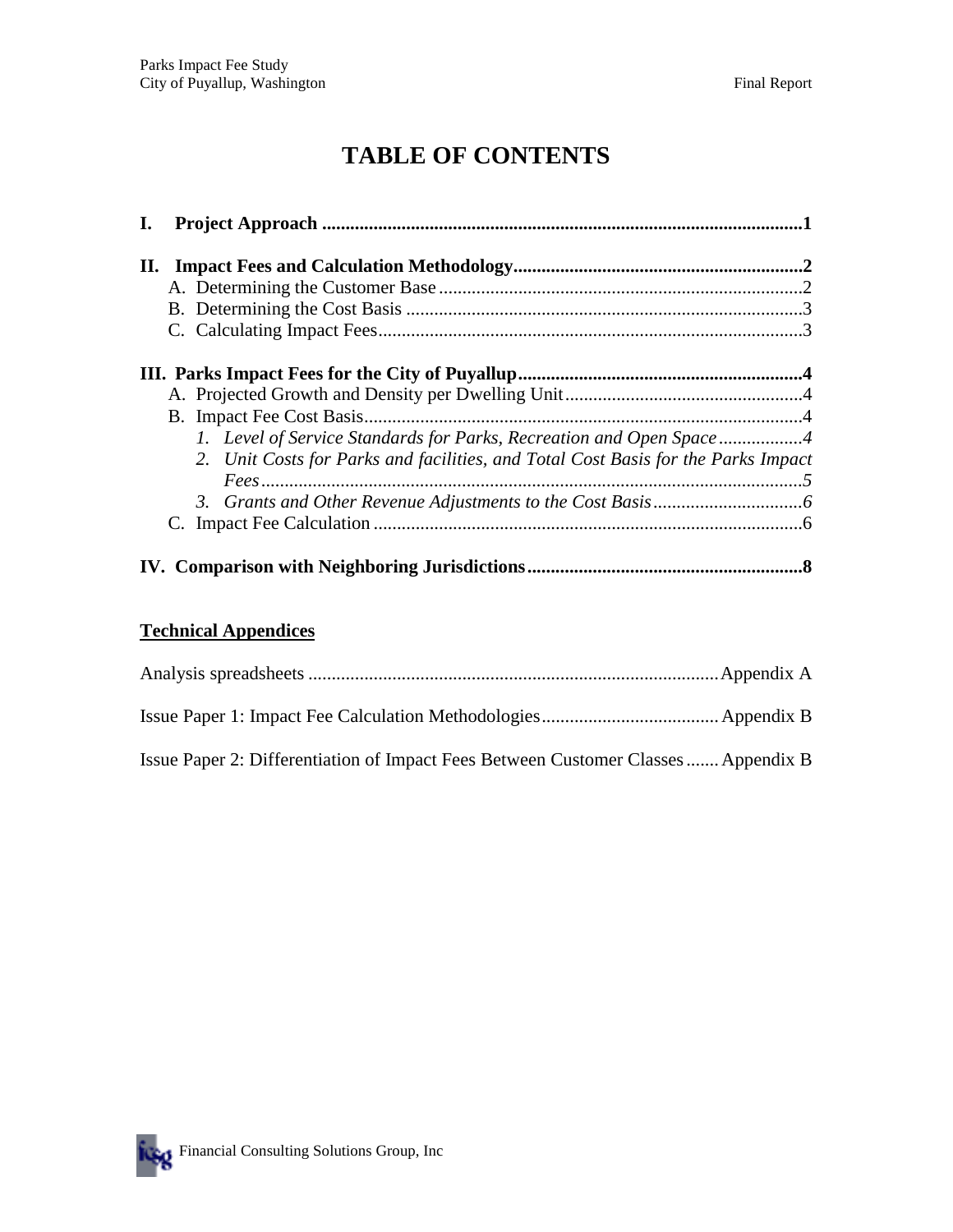## **TABLE OF CONTENTS**

| I. |                                                                                   |  |
|----|-----------------------------------------------------------------------------------|--|
|    |                                                                                   |  |
|    |                                                                                   |  |
|    |                                                                                   |  |
|    |                                                                                   |  |
|    |                                                                                   |  |
|    |                                                                                   |  |
|    |                                                                                   |  |
|    | 1. Level of Service Standards for Parks, Recreation and Open Space4               |  |
|    | 2. Unit Costs for Parks and facilities, and Total Cost Basis for the Parks Impact |  |
|    |                                                                                   |  |
|    |                                                                                   |  |
|    |                                                                                   |  |
|    |                                                                                   |  |

#### **Technical Appendices**

| Issue Paper 2: Differentiation of Impact Fees Between Customer Classes Appendix B |  |
|-----------------------------------------------------------------------------------|--|

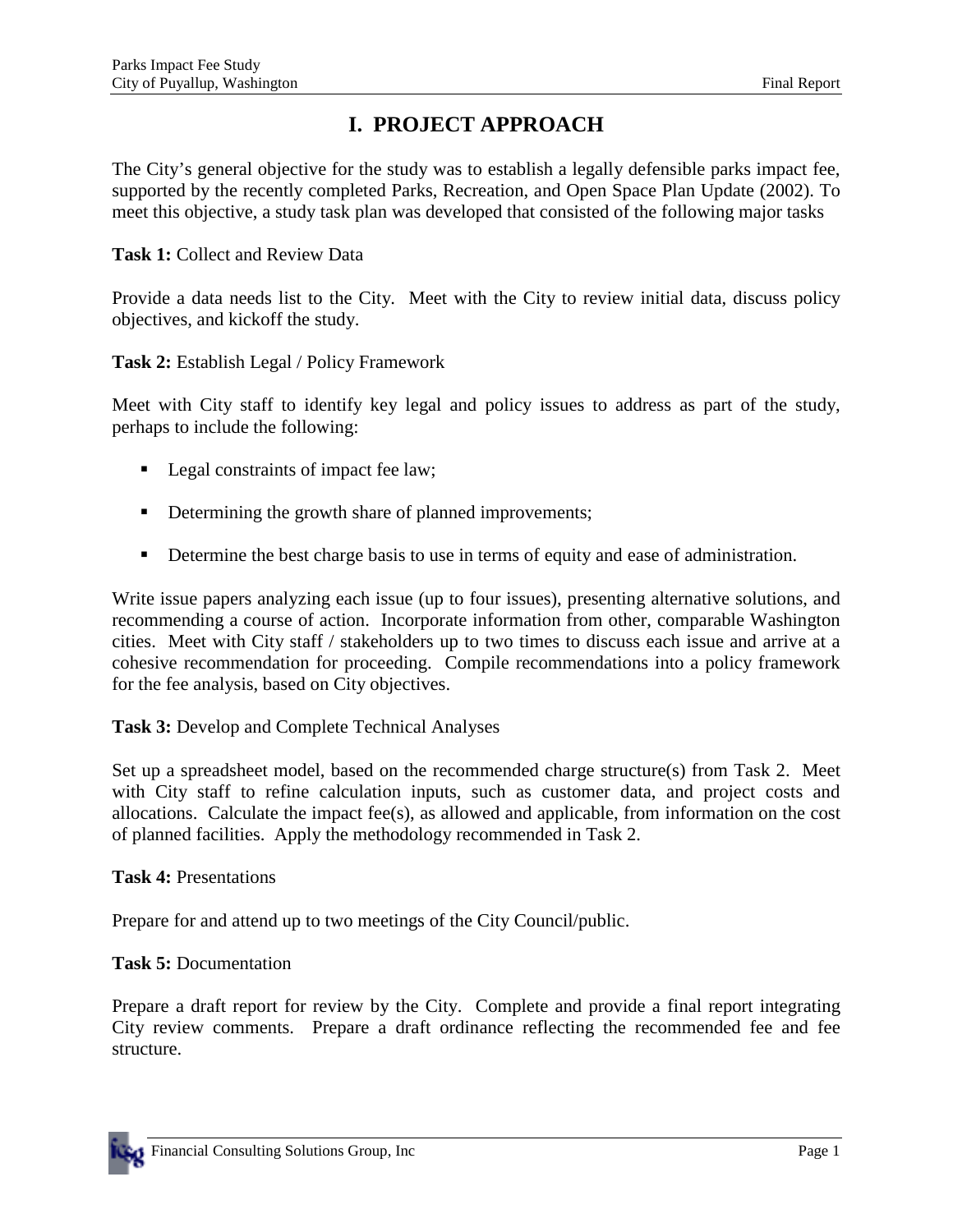## **I. PROJECT APPROACH**

The City's general objective for the study was to establish a legally defensible parks impact fee, supported by the recently completed Parks, Recreation, and Open Space Plan Update (2002). To meet this objective, a study task plan was developed that consisted of the following major tasks

**Task 1:** Collect and Review Data

Provide a data needs list to the City. Meet with the City to review initial data, discuss policy objectives, and kickoff the study.

**Task 2:** Establish Legal / Policy Framework

Meet with City staff to identify key legal and policy issues to address as part of the study, perhaps to include the following:

- **•** Legal constraints of impact fee law;
- **•** Determining the growth share of planned improvements;
- **•** Determine the best charge basis to use in terms of equity and ease of administration.

Write issue papers analyzing each issue (up to four issues), presenting alternative solutions, and recommending a course of action. Incorporate information from other, comparable Washington cities. Meet with City staff / stakeholders up to two times to discuss each issue and arrive at a cohesive recommendation for proceeding. Compile recommendations into a policy framework for the fee analysis, based on City objectives.

**Task 3:** Develop and Complete Technical Analyses

Set up a spreadsheet model, based on the recommended charge structure(s) from Task 2. Meet with City staff to refine calculation inputs, such as customer data, and project costs and allocations. Calculate the impact fee(s), as allowed and applicable, from information on the cost of planned facilities. Apply the methodology recommended in Task 2.

**Task 4:** Presentations

Prepare for and attend up to two meetings of the City Council/public.

**Task 5:** Documentation

Prepare a draft report for review by the City. Complete and provide a final report integrating City review comments. Prepare a draft ordinance reflecting the recommended fee and fee structure.

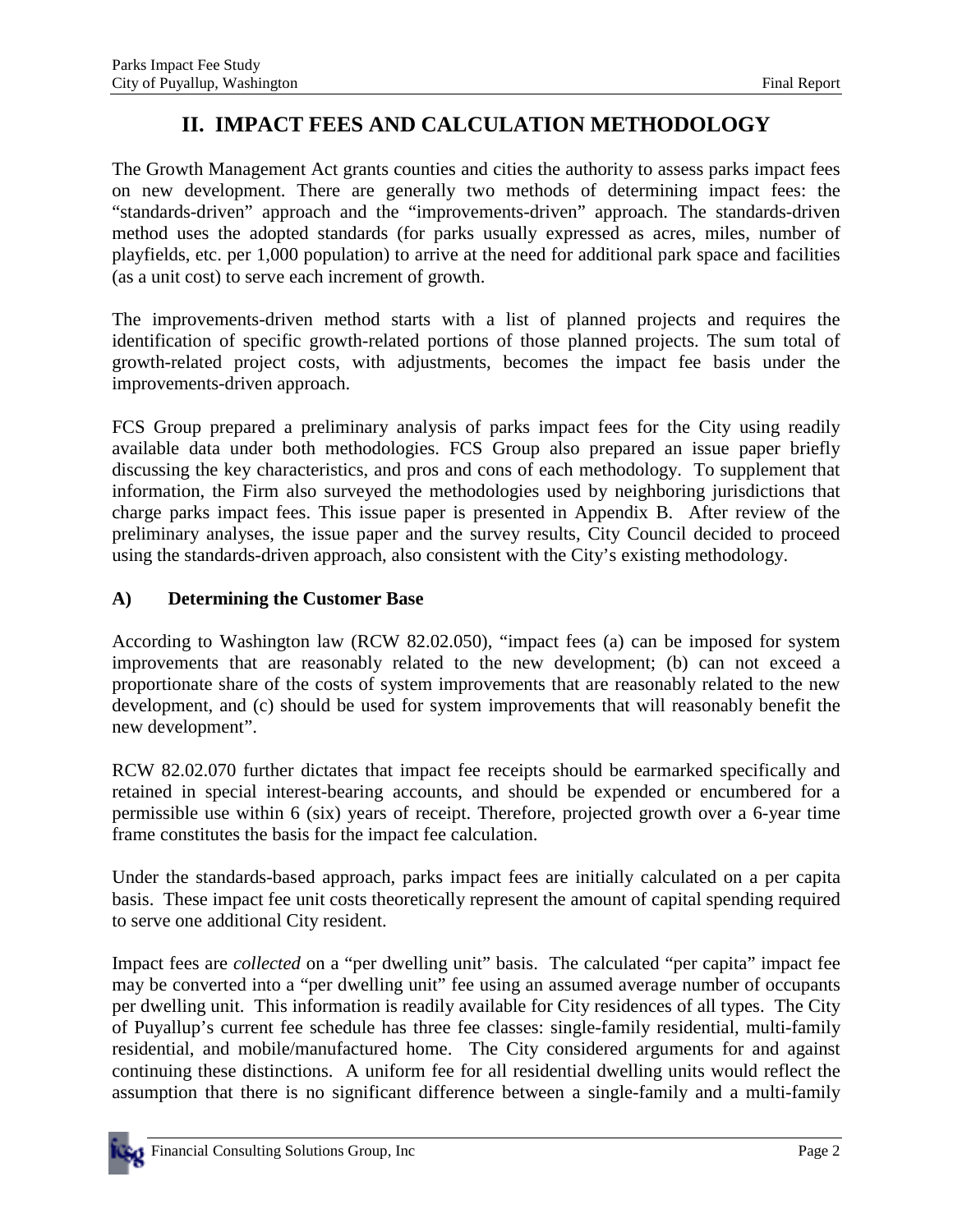## **II. IMPACT FEES AND CALCULATION METHODOLOGY**

The Growth Management Act grants counties and cities the authority to assess parks impact fees on new development. There are generally two methods of determining impact fees: the "standards-driven" approach and the "improvements-driven" approach. The standards-driven method uses the adopted standards (for parks usually expressed as acres, miles, number of playfields, etc. per 1,000 population) to arrive at the need for additional park space and facilities (as a unit cost) to serve each increment of growth.

The improvements-driven method starts with a list of planned projects and requires the identification of specific growth-related portions of those planned projects. The sum total of growth-related project costs, with adjustments, becomes the impact fee basis under the improvements-driven approach.

FCS Group prepared a preliminary analysis of parks impact fees for the City using readily available data under both methodologies. FCS Group also prepared an issue paper briefly discussing the key characteristics, and pros and cons of each methodology. To supplement that information, the Firm also surveyed the methodologies used by neighboring jurisdictions that charge parks impact fees. This issue paper is presented in Appendix B. After review of the preliminary analyses, the issue paper and the survey results, City Council decided to proceed using the standards-driven approach, also consistent with the City's existing methodology.

#### **A) Determining the Customer Base**

According to Washington law (RCW 82.02.050), "impact fees (a) can be imposed for system improvements that are reasonably related to the new development; (b) can not exceed a proportionate share of the costs of system improvements that are reasonably related to the new development, and (c) should be used for system improvements that will reasonably benefit the new development".

RCW 82.02.070 further dictates that impact fee receipts should be earmarked specifically and retained in special interest-bearing accounts, and should be expended or encumbered for a permissible use within 6 (six) years of receipt. Therefore, projected growth over a 6-year time frame constitutes the basis for the impact fee calculation.

Under the standards-based approach, parks impact fees are initially calculated on a per capita basis. These impact fee unit costs theoretically represent the amount of capital spending required to serve one additional City resident.

Impact fees are *collected* on a "per dwelling unit" basis. The calculated "per capita" impact fee may be converted into a "per dwelling unit" fee using an assumed average number of occupants per dwelling unit. This information is readily available for City residences of all types. The City of Puyallup's current fee schedule has three fee classes: single-family residential, multi-family residential, and mobile/manufactured home. The City considered arguments for and against continuing these distinctions. A uniform fee for all residential dwelling units would reflect the assumption that there is no significant difference between a single-family and a multi-family

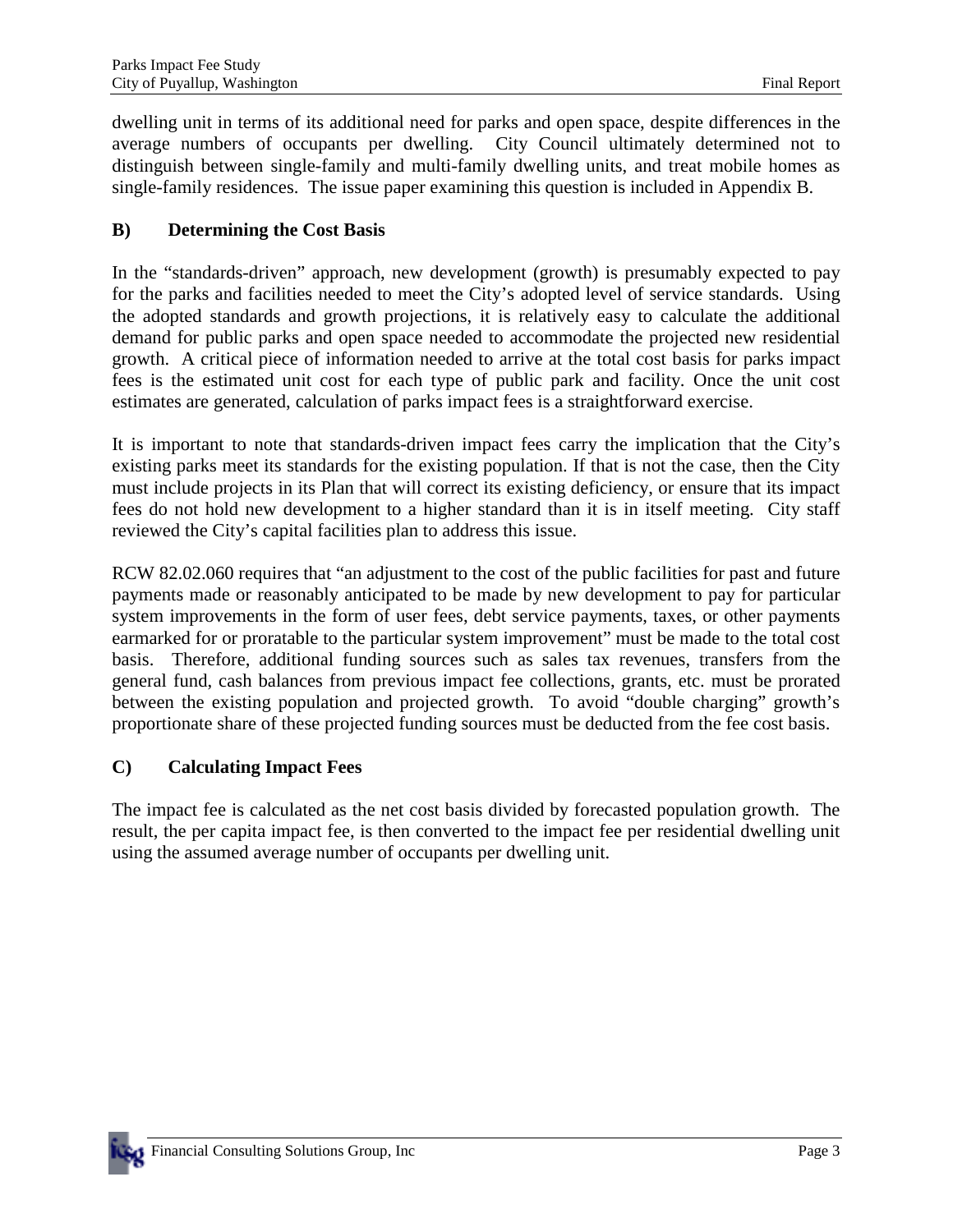dwelling unit in terms of its additional need for parks and open space, despite differences in the average numbers of occupants per dwelling. City Council ultimately determined not to distinguish between single-family and multi-family dwelling units, and treat mobile homes as single-family residences. The issue paper examining this question is included in Appendix B.

#### **B) Determining the Cost Basis**

In the "standards-driven" approach, new development (growth) is presumably expected to pay for the parks and facilities needed to meet the City's adopted level of service standards. Using the adopted standards and growth projections, it is relatively easy to calculate the additional demand for public parks and open space needed to accommodate the projected new residential growth. A critical piece of information needed to arrive at the total cost basis for parks impact fees is the estimated unit cost for each type of public park and facility. Once the unit cost estimates are generated, calculation of parks impact fees is a straightforward exercise.

It is important to note that standards-driven impact fees carry the implication that the City's existing parks meet its standards for the existing population. If that is not the case, then the City must include projects in its Plan that will correct its existing deficiency, or ensure that its impact fees do not hold new development to a higher standard than it is in itself meeting. City staff reviewed the City's capital facilities plan to address this issue.

RCW 82.02.060 requires that "an adjustment to the cost of the public facilities for past and future payments made or reasonably anticipated to be made by new development to pay for particular system improvements in the form of user fees, debt service payments, taxes, or other payments earmarked for or proratable to the particular system improvement" must be made to the total cost basis. Therefore, additional funding sources such as sales tax revenues, transfers from the general fund, cash balances from previous impact fee collections, grants, etc. must be prorated between the existing population and projected growth. To avoid "double charging" growth's proportionate share of these projected funding sources must be deducted from the fee cost basis.

#### **C) Calculating Impact Fees**

The impact fee is calculated as the net cost basis divided by forecasted population growth. The result, the per capita impact fee, is then converted to the impact fee per residential dwelling unit using the assumed average number of occupants per dwelling unit.

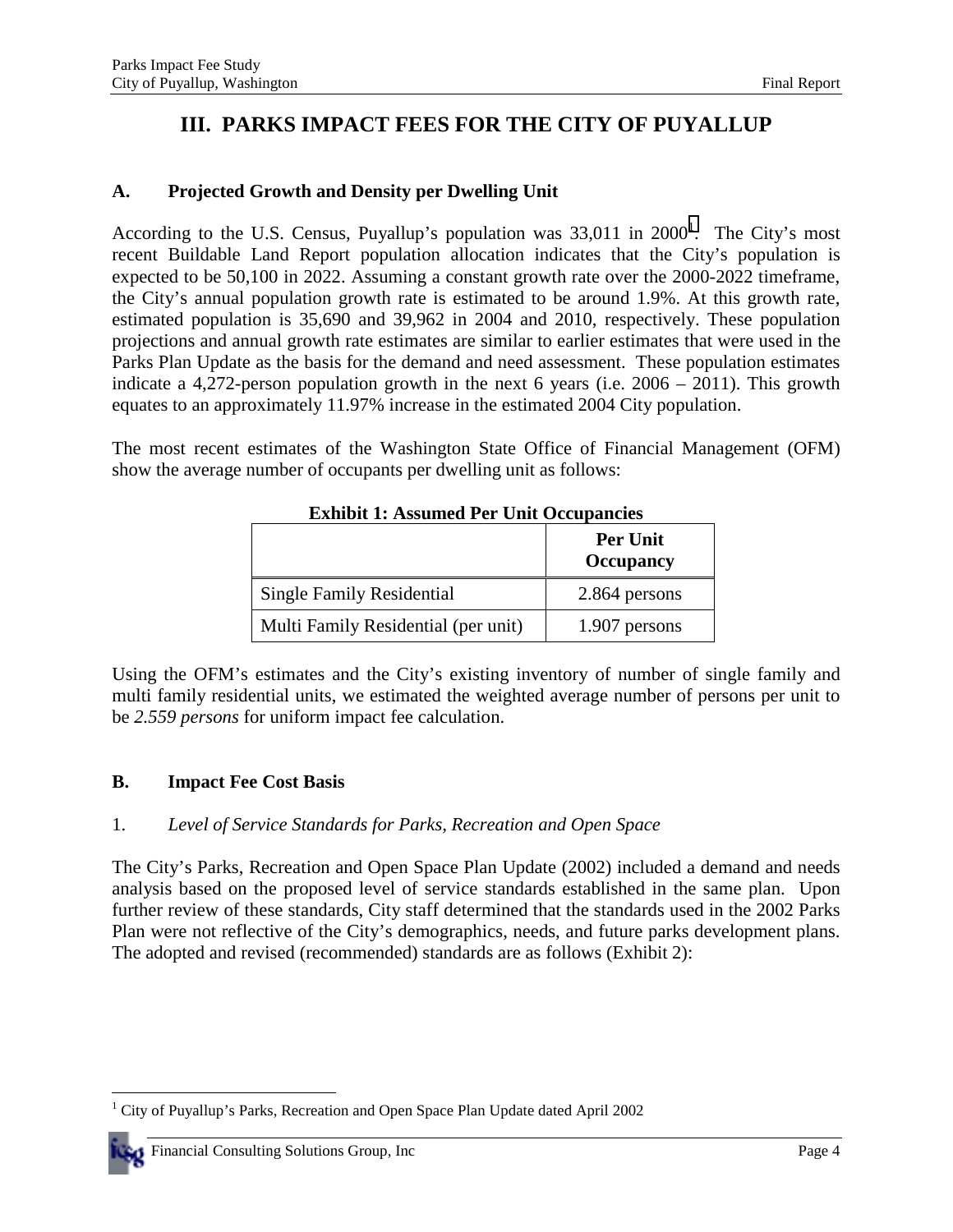## **III. PARKS IMPACT FEES FOR THE CITY OF PUYALLUP**

#### **A. Projected Growth and Density per Dwelling Unit**

According to the U.S. Census, Puyallup's population was  $33,011$  in  $2000<sup>1</sup>$ . The City's most recent Buildable Land Report population allocation indicates that the City's population is expected to be 50,100 in 2022. Assuming a constant growth rate over the 2000-2022 timeframe, the City's annual population growth rate is estimated to be around 1.9%. At this growth rate, estimated population is 35,690 and 39,962 in 2004 and 2010, respectively. These population projections and annual growth rate estimates are similar to earlier estimates that were used in the Parks Plan Update as the basis for the demand and need assessment. These population estimates indicate a 4,272-person population growth in the next 6 years (i.e. 2006 – 2011). This growth equates to an approximately 11.97% increase in the estimated 2004 City population.

The most recent estimates of the Washington State Office of Financial Management (OFM) show the average number of occupants per dwelling unit as follows:

|                                     | <b>Per Unit</b><br><b>Occupancy</b> |
|-------------------------------------|-------------------------------------|
| Single Family Residential           | 2.864 persons                       |
| Multi Family Residential (per unit) | 1.907 persons                       |

**Exhibit 1: Assumed Per Unit Occupancies** 

Using the OFM's estimates and the City's existing inventory of number of single family and multi family residential units, we estimated the weighted average number of persons per unit to be *2.559 persons* for uniform impact fee calculation.

#### **B. Impact Fee Cost Basis**

#### 1. *Level of Service Standards for Parks, Recreation and Open Space*

The City's Parks, Recreation and Open Space Plan Update (2002) included a demand and needs analysis based on the proposed level of service standards established in the same plan. Upon further review of these standards, City staff determined that the standards used in the 2002 Parks Plan were not reflective of the City's demographics, needs, and future parks development plans. The adopted and revised (recommended) standards are as follows (Exhibit 2):

 $\overline{a}$ <sup>1</sup> City of Puyallup's Parks, Recreation and Open Space Plan Update dated April 2002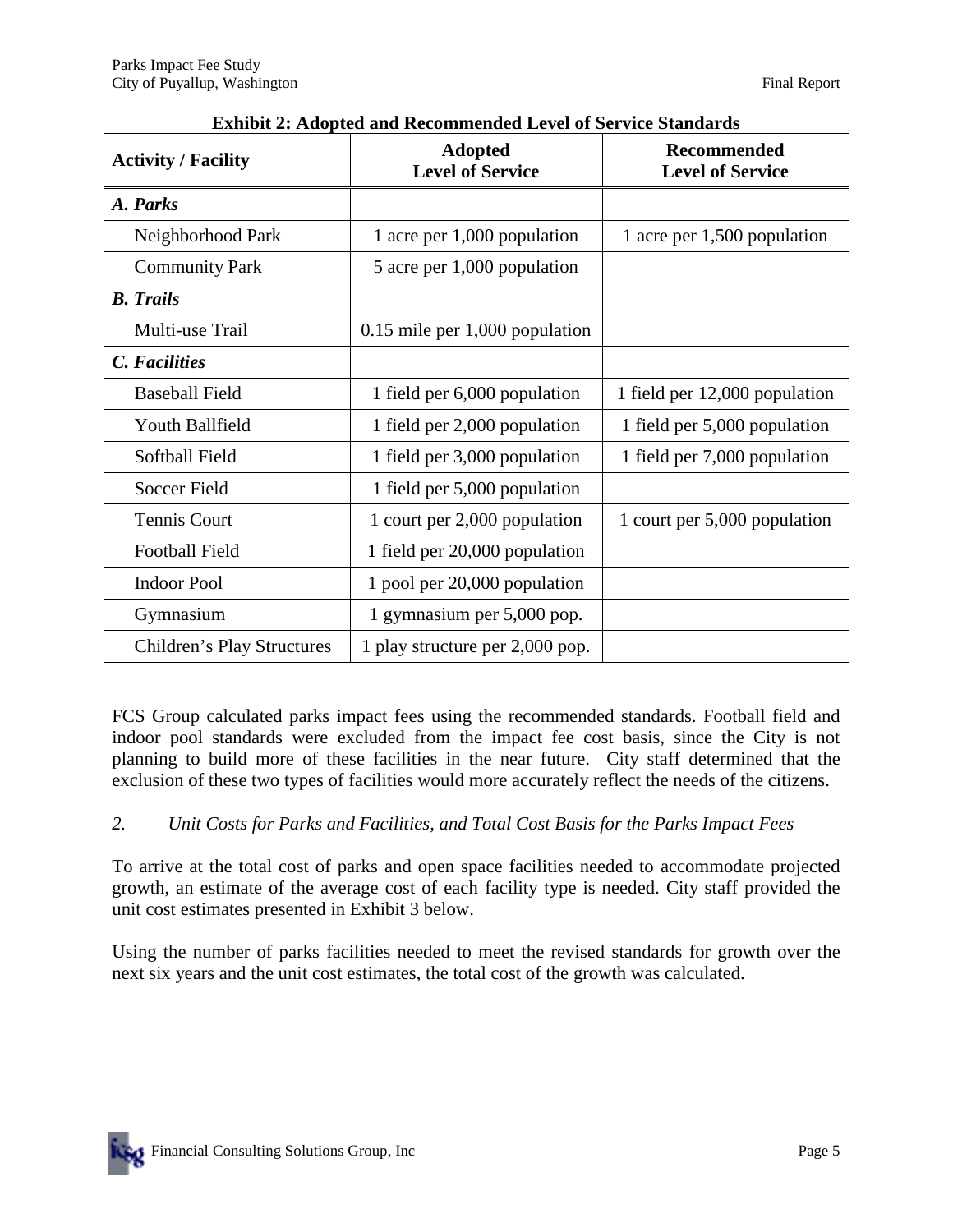| <b>Activity / Facility</b> | <b>Adopted</b><br><b>Level of Service</b> | <b>Recommended</b><br><b>Level of Service</b> |  |
|----------------------------|-------------------------------------------|-----------------------------------------------|--|
| A. Parks                   |                                           |                                               |  |
| Neighborhood Park          | 1 acre per 1,000 population               | 1 acre per 1,500 population                   |  |
| <b>Community Park</b>      | 5 acre per 1,000 population               |                                               |  |
| <b>B.</b> Trails           |                                           |                                               |  |
| Multi-use Trail            | $0.15$ mile per 1,000 population          |                                               |  |
| C. Facilities              |                                           |                                               |  |
| <b>Baseball Field</b>      | 1 field per 6,000 population              | 1 field per 12,000 population                 |  |
| <b>Youth Ballfield</b>     | 1 field per 2,000 population              | 1 field per 5,000 population                  |  |
| Softball Field             | 1 field per 3,000 population              | 1 field per 7,000 population                  |  |
| Soccer Field               | 1 field per 5,000 population              |                                               |  |
| <b>Tennis Court</b>        | 1 court per 2,000 population              | 1 court per 5,000 population                  |  |
| <b>Football Field</b>      | 1 field per 20,000 population             |                                               |  |
| <b>Indoor Pool</b>         | 1 pool per 20,000 population              |                                               |  |
| Gymnasium                  | 1 gymnasium per 5,000 pop.                |                                               |  |
| Children's Play Structures | 1 play structure per 2,000 pop.           |                                               |  |

| <b>Exhibit 2: Adopted and Recommended Level of Service Standards</b> |  |
|----------------------------------------------------------------------|--|
|----------------------------------------------------------------------|--|

FCS Group calculated parks impact fees using the recommended standards. Football field and indoor pool standards were excluded from the impact fee cost basis, since the City is not planning to build more of these facilities in the near future. City staff determined that the exclusion of these two types of facilities would more accurately reflect the needs of the citizens.

#### *2. Unit Costs for Parks and Facilities, and Total Cost Basis for the Parks Impact Fees*

To arrive at the total cost of parks and open space facilities needed to accommodate projected growth, an estimate of the average cost of each facility type is needed. City staff provided the unit cost estimates presented in Exhibit 3 below.

Using the number of parks facilities needed to meet the revised standards for growth over the next six years and the unit cost estimates, the total cost of the growth was calculated.

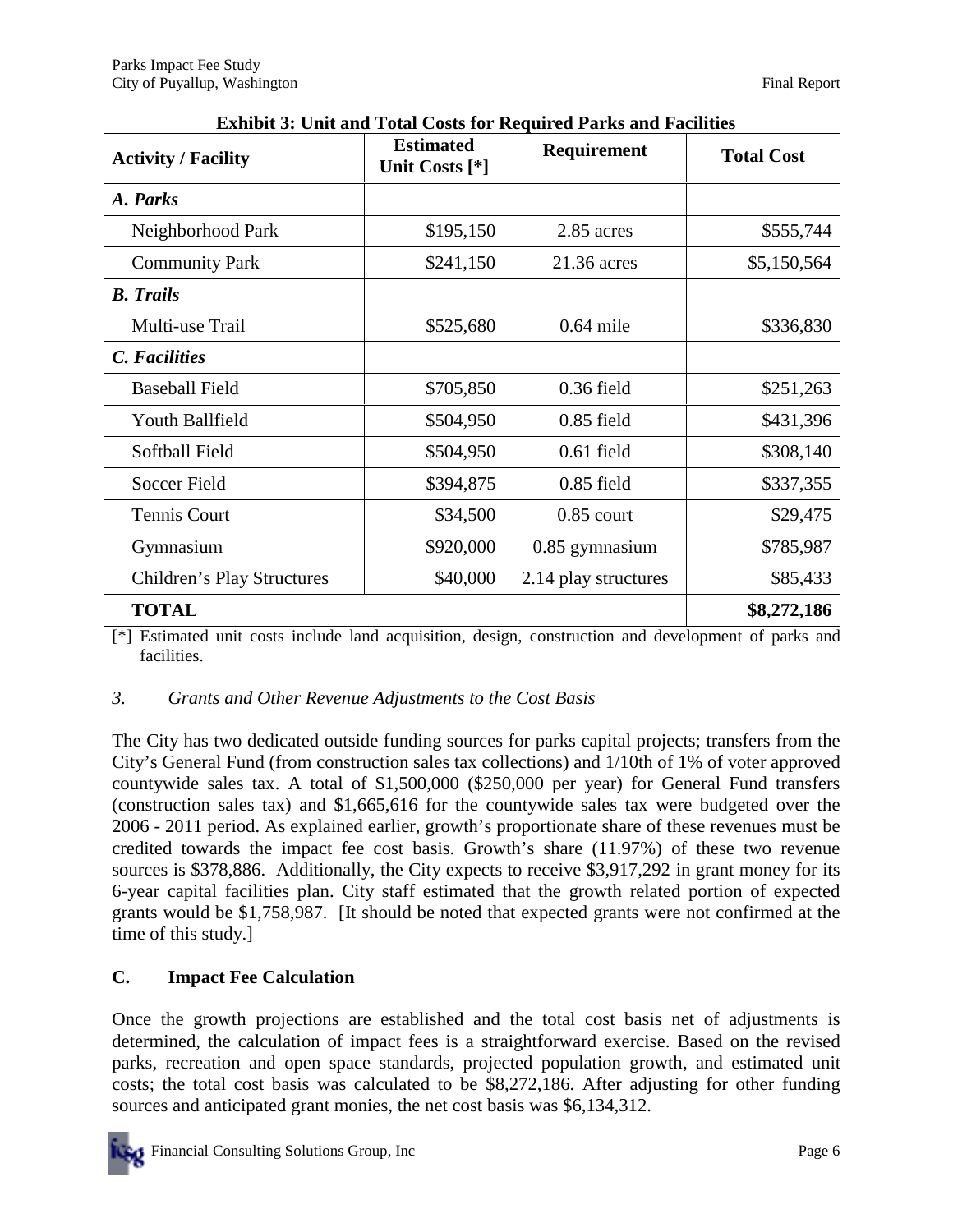| <b>Activity / Facility</b> | <b>Estimated</b><br>Unit Costs [*] | Requirement          | <b>Total Cost</b> |  |
|----------------------------|------------------------------------|----------------------|-------------------|--|
| A. Parks                   |                                    |                      |                   |  |
| Neighborhood Park          | \$195,150                          | 2.85 acres           | \$555,744         |  |
| <b>Community Park</b>      | \$241,150                          | $21.36$ acres        | \$5,150,564       |  |
| <b>B.</b> Trails           |                                    |                      |                   |  |
| Multi-use Trail            | \$525,680                          | $0.64$ mile          | \$336,830         |  |
| C. Facilities              |                                    |                      |                   |  |
| <b>Baseball Field</b>      | \$705,850                          | $0.36$ field         | \$251,263         |  |
| Youth Ballfield            | \$504,950                          | $0.85$ field         | \$431,396         |  |
| Softball Field             | \$504,950                          | $0.61$ field         | \$308,140         |  |
| Soccer Field               | \$394,875                          | $0.85$ field         | \$337,355         |  |
| Tennis Court               | \$34,500                           | $0.85$ court         | \$29,475          |  |
| Gymnasium                  | \$920,000                          | 0.85 gymnasium       | \$785,987         |  |
| Children's Play Structures | \$40,000                           | 2.14 play structures | \$85,433          |  |
| <b>TOTAL</b>               |                                    |                      | \$8,272,186       |  |

[\*] Estimated unit costs include land acquisition, design, construction and development of parks and facilities.

#### *3. Grants and Other Revenue Adjustments to the Cost Basis*

The City has two dedicated outside funding sources for parks capital projects; transfers from the City's General Fund (from construction sales tax collections) and 1/10th of 1% of voter approved countywide sales tax. A total of \$1,500,000 (\$250,000 per year) for General Fund transfers (construction sales tax) and \$1,665,616 for the countywide sales tax were budgeted over the 2006 - 2011 period. As explained earlier, growth's proportionate share of these revenues must be credited towards the impact fee cost basis. Growth's share (11.97%) of these two revenue sources is \$378,886. Additionally, the City expects to receive \$3,917,292 in grant money for its 6-year capital facilities plan. City staff estimated that the growth related portion of expected grants would be \$1,758,987. [It should be noted that expected grants were not confirmed at the time of this study.]

#### **C. Impact Fee Calculation**

Once the growth projections are established and the total cost basis net of adjustments is determined, the calculation of impact fees is a straightforward exercise. Based on the revised parks, recreation and open space standards, projected population growth, and estimated unit costs; the total cost basis was calculated to be \$8,272,186. After adjusting for other funding sources and anticipated grant monies, the net cost basis was \$6,134,312.

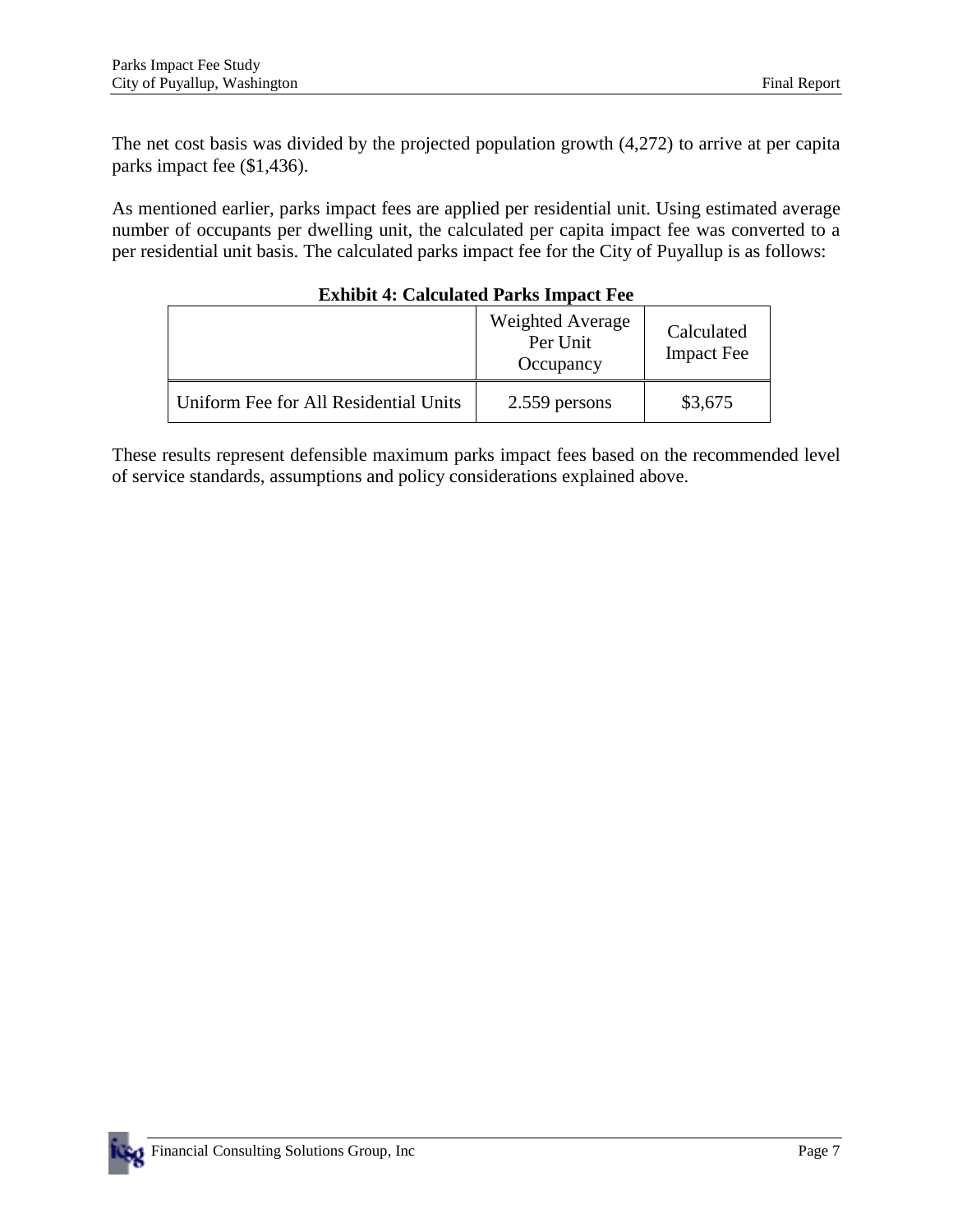The net cost basis was divided by the projected population growth (4,272) to arrive at per capita parks impact fee (\$1,436).

As mentioned earlier, parks impact fees are applied per residential unit. Using estimated average number of occupants per dwelling unit, the calculated per capita impact fee was converted to a per residential unit basis. The calculated parks impact fee for the City of Puyallup is as follows:

|                                       | <b>Weighted Average</b><br>Per Unit<br>Occupancy | Calculated<br><b>Impact Fee</b> |  |  |
|---------------------------------------|--------------------------------------------------|---------------------------------|--|--|
| Uniform Fee for All Residential Units | 2.559 persons                                    | \$3,675                         |  |  |

#### **Exhibit 4: Calculated Parks Impact Fee**

These results represent defensible maximum parks impact fees based on the recommended level of service standards, assumptions and policy considerations explained above.

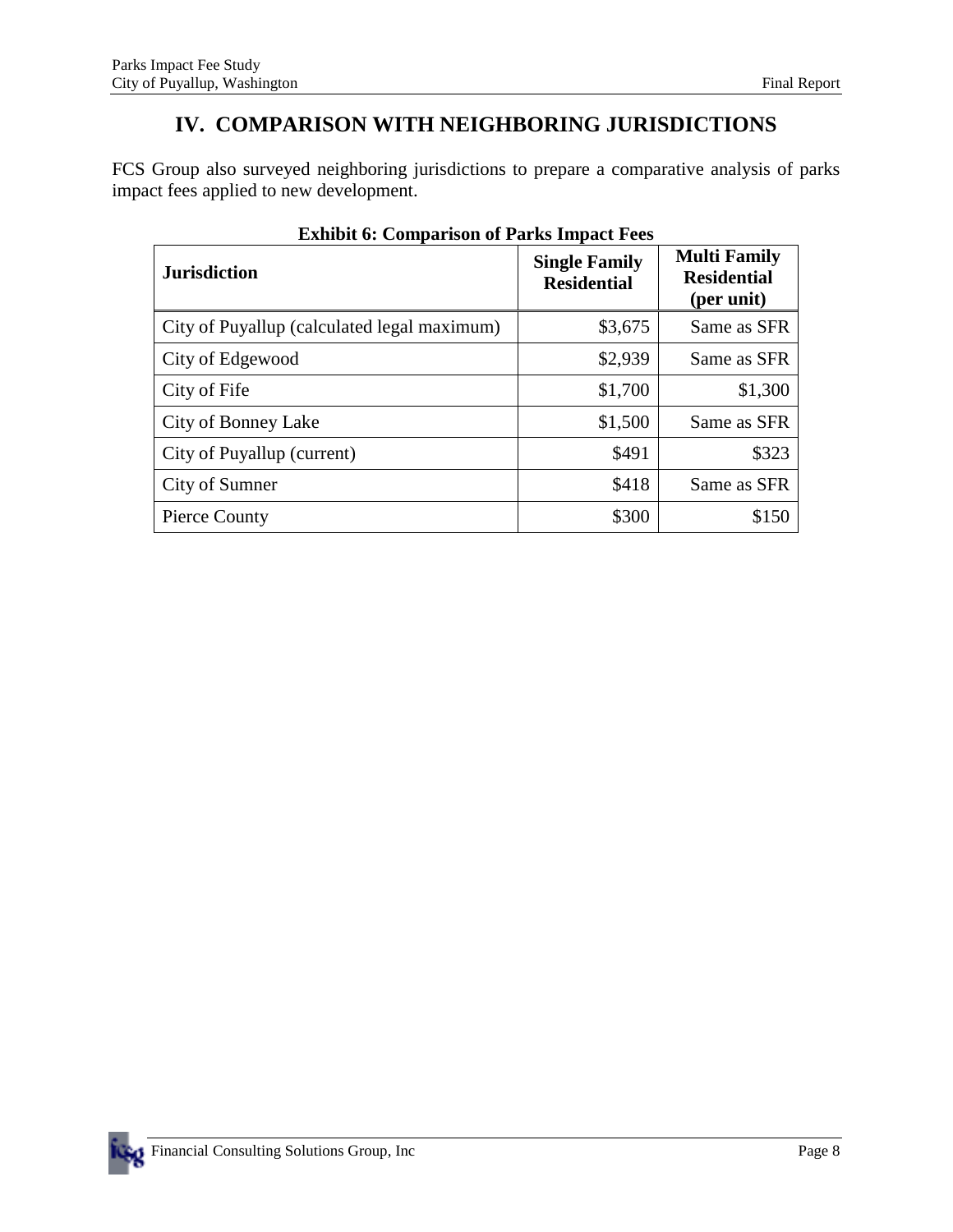## **IV. COMPARISON WITH NEIGHBORING JURISDICTIONS**

FCS Group also surveyed neighboring jurisdictions to prepare a comparative analysis of parks impact fees applied to new development.

| <b>Jurisdiction</b>                         | <b>Single Family</b><br><b>Residential</b> | <b>Multi Family</b><br><b>Residential</b><br>(per unit) |
|---------------------------------------------|--------------------------------------------|---------------------------------------------------------|
| City of Puyallup (calculated legal maximum) | \$3,675                                    | Same as SFR                                             |
| City of Edgewood                            | \$2,939                                    | Same as SFR                                             |
| City of Fife                                | \$1,700                                    | \$1,300                                                 |
| City of Bonney Lake                         | \$1,500                                    | Same as SFR                                             |
| City of Puyallup (current)                  | \$491                                      | \$323                                                   |
| City of Sumner                              | \$418                                      | Same as SFR                                             |
| Pierce County                               | \$300                                      | \$150                                                   |

**Exhibit 6: Comparison of Parks Impact Fees** 

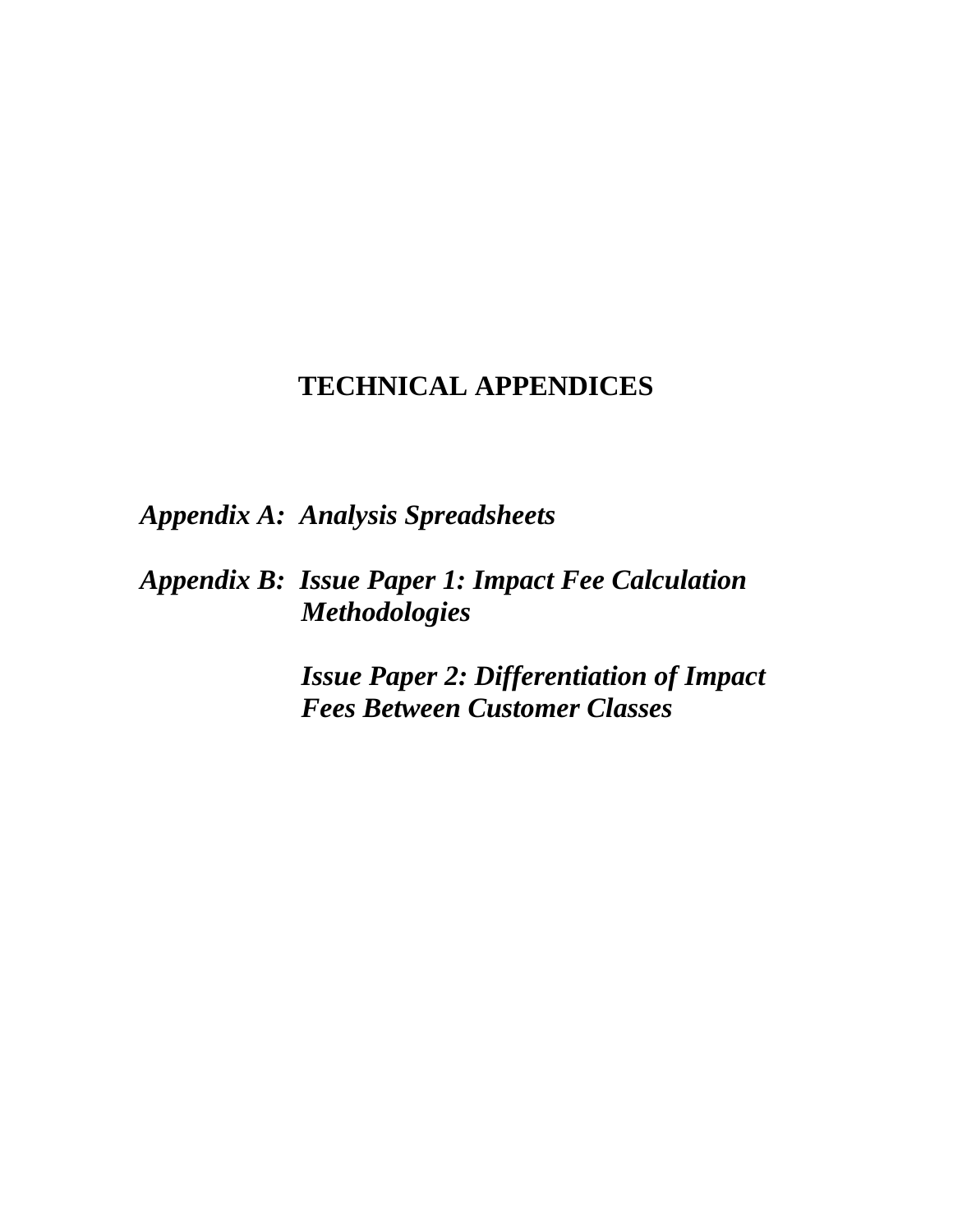## **TECHNICAL APPENDICES**

*Appendix A: Analysis Spreadsheets* 

*Appendix B: Issue Paper 1: Impact Fee Calculation Methodologies* 

> *Issue Paper 2: Differentiation of Impact Fees Between Customer Classes*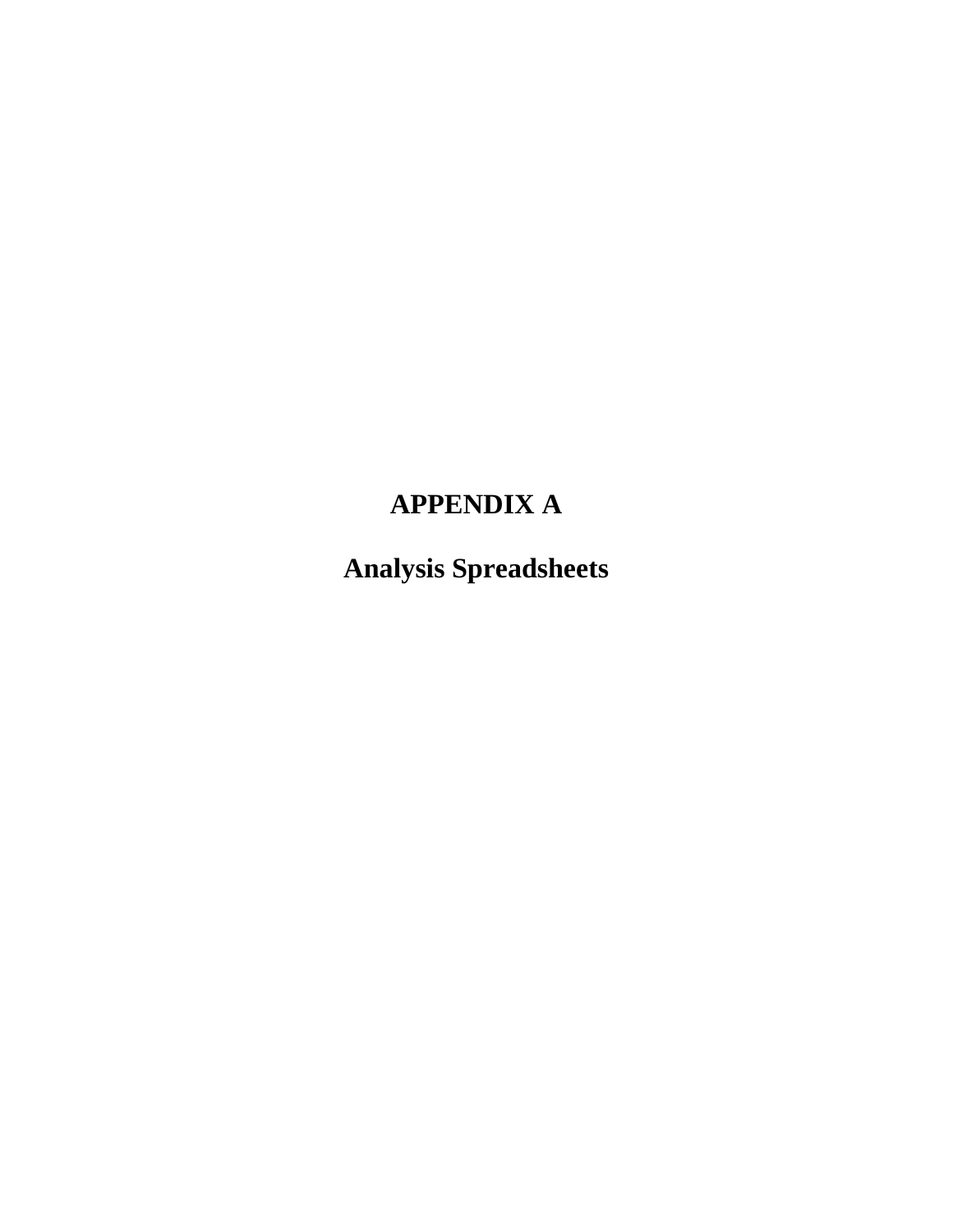## **APPENDIX A**

**Analysis Spreadsheets**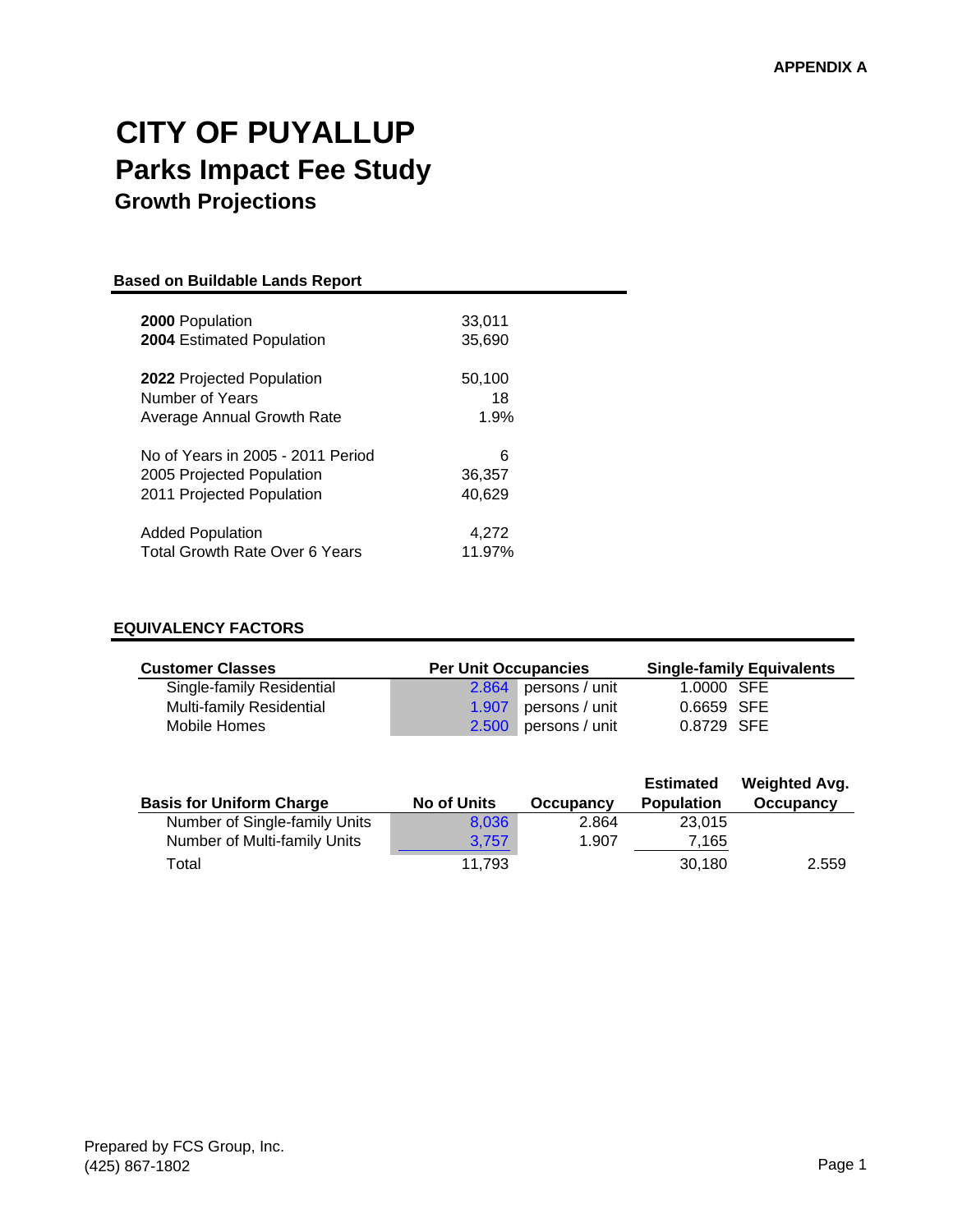## **CITY OF PUYALLUP Parks Impact Fee Study Growth Projections**

| <b>Based on Buildable Lands Report</b> |        |  |  |  |
|----------------------------------------|--------|--|--|--|
| <b>2000</b> Population                 | 33,011 |  |  |  |
| <b>2004 Estimated Population</b>       | 35,690 |  |  |  |
| <b>2022</b> Projected Population       | 50,100 |  |  |  |
| Number of Years                        | 18     |  |  |  |
| Average Annual Growth Rate             | 1.9%   |  |  |  |
| No of Years in 2005 - 2011 Period      | 6      |  |  |  |
| 2005 Projected Population              | 36,357 |  |  |  |
| 2011 Projected Population              | 40.629 |  |  |  |
| <b>Added Population</b>                | 4.272  |  |  |  |
| Total Growth Rate Over 6 Years         | 11.97% |  |  |  |

#### **EQUIVALENCY FACTORS**

| <b>Customer Classes</b>         | <b>Per Unit Occupancies</b> |                      | <b>Single-family Equivalents</b> |  |
|---------------------------------|-----------------------------|----------------------|----------------------------------|--|
| Single-family Residential       |                             | 2.864 persons / unit | 1.0000 SFE                       |  |
| <b>Multi-family Residential</b> |                             | 1.907 persons / unit | 0.6659 SFE                       |  |
| Mobile Homes                    |                             | 2.500 persons / unit | 0.8729 SFE                       |  |

| <b>Basis for Uniform Charge</b> | <b>No of Units</b> | Occupancy | <b>Estimated</b><br><b>Population</b> | <b>Weighted Avg.</b><br>Occupancy |
|---------------------------------|--------------------|-----------|---------------------------------------|-----------------------------------|
| Number of Single-family Units   | 8.036              | 2.864     | 23,015                                |                                   |
| Number of Multi-family Units    | 3.757              | 1.907     | 7.165                                 |                                   |
| Total                           | 11.793             |           | 30.180                                | 2.559                             |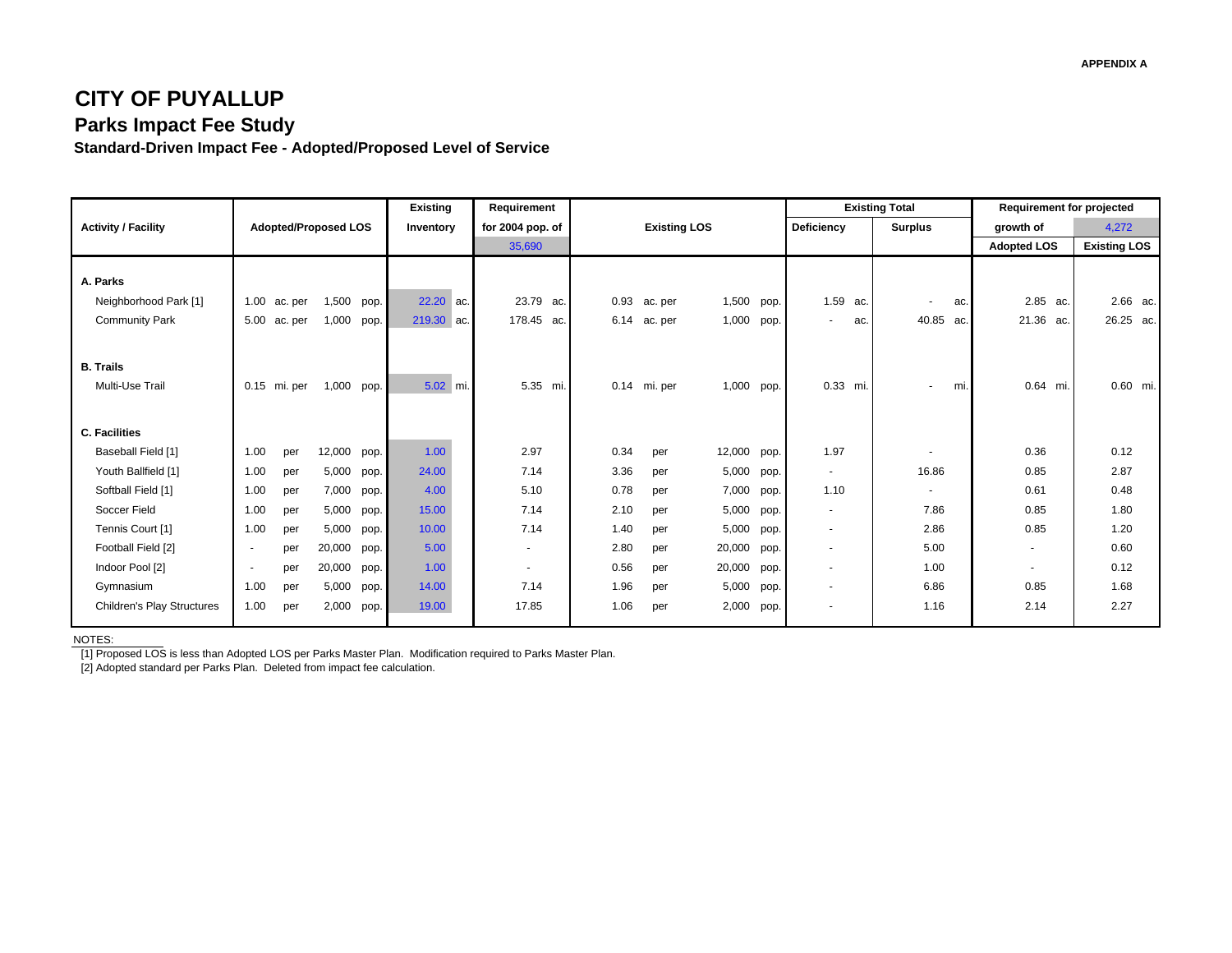### **CITY OF PUYALLUP Parks Impact Fee Study**

**Standard-Driven Impact Fee - Adopted/Proposed Level of Service**

|                                                            |                          |                    |                             |      | <b>Existing</b>         | Requirement              |              |                     |                |              |                           | <b>Existing Total</b> |     | <b>Requirement for projected</b> |                       |
|------------------------------------------------------------|--------------------------|--------------------|-----------------------------|------|-------------------------|--------------------------|--------------|---------------------|----------------|--------------|---------------------------|-----------------------|-----|----------------------------------|-----------------------|
| <b>Activity / Facility</b>                                 |                          |                    | <b>Adopted/Proposed LOS</b> |      | Inventory               | for 2004 pop. of         |              | <b>Existing LOS</b> |                |              | Deficiency                | <b>Surplus</b>        |     | growth of                        | 4,272                 |
|                                                            |                          |                    |                             |      |                         | 35,690                   |              |                     |                |              |                           |                       |     | <b>Adopted LOS</b>               | <b>Existing LOS</b>   |
| A. Parks<br>Neighborhood Park [1]<br><b>Community Park</b> | 1.00<br>5.00             | ac. per<br>ac. per | 1,500 pop.<br>1,000 pop.    |      | 22.20 ac.<br>219.30 ac. | 23.79 ac.<br>178.45 ac.  | 0.93<br>6.14 | ac. per<br>ac. per  | 1,500<br>1,000 | pop.<br>pop. | 1.59 ac.<br>ac.<br>$\sim$ | $\sim$<br>40.85 ac.   | ac. | 2.85 ac.<br>21.36 ac.            | 2.66 ac.<br>26.25 ac. |
| <b>B.</b> Trails<br>Multi-Use Trail                        |                          | 0.15 mi. per       | 1,000 pop.                  |      | 5.02 mi.                | 5.35 mi.                 |              | 0.14 mi. per        | 1,000 pop.     |              | 0.33 mi.                  | $\sim$                | mi. | 0.64 mi.                         | 0.60 mi.              |
| <b>C. Facilities</b>                                       |                          |                    |                             |      |                         |                          |              |                     |                |              |                           |                       |     |                                  |                       |
| Baseball Field [1]                                         | 1.00                     | per                | 12,000 pop.                 |      | 1.00                    | 2.97                     | 0.34         | per                 | 12,000         | pop.         | 1.97                      | ٠                     |     | 0.36                             | 0.12                  |
| Youth Ballfield [1]                                        | 1.00                     | per                | 5,000                       | pop. | 24.00                   | 7.14                     | 3.36         | per                 | 5,000          | pop.         | $\sim$                    | 16.86                 |     | 0.85                             | 2.87                  |
| Softball Field [1]                                         | 1.00                     | per                | 7,000 pop.                  |      | 4.00                    | 5.10                     | 0.78         | per                 | 7,000          | pop.         | 1.10                      | $\sim$                |     | 0.61                             | 0.48                  |
| Soccer Field                                               | 1.00                     | per                | 5,000                       | pop. | 15.00                   | 7.14                     | 2.10         | per                 | 5,000          | pop.         | $\sim$                    | 7.86                  |     | 0.85                             | 1.80                  |
| Tennis Court [1]                                           | 1.00                     | per                | 5,000                       | pop. | 10.00                   | 7.14                     | 1.40         | per                 | 5,000          | pop.         | $\sim$                    | 2.86                  |     | 0.85                             | 1.20                  |
| Football Field [2]                                         | $\overline{\phantom{a}}$ | per                | 20,000                      | pop. | 5.00                    | $\blacksquare$           | 2.80         | per                 | 20,000         | pop.         | $\sim$                    | 5.00                  |     | $\sim$                           | 0.60                  |
| Indoor Pool [2]                                            | $\overline{\phantom{a}}$ | per                | 20,000                      | pop. | 1.00                    | $\overline{\phantom{a}}$ | 0.56         | per                 | 20,000         | pop.         | $\sim$                    | 1.00                  |     | ٠                                | 0.12                  |
| Gymnasium                                                  | 1.00                     | per                | 5,000                       | pop. | 14.00                   | 7.14                     | 1.96         | per                 | 5,000          | pop.         | $\sim$                    | 6.86                  |     | 0.85                             | 1.68                  |
| <b>Children's Play Structures</b>                          | 1.00                     | per                | 2,000 pop.                  |      | 19.00                   | 17.85                    | 1.06         | per                 | 2,000          | pop.         | $\overline{\phantom{a}}$  | 1.16                  |     | 2.14                             | 2.27                  |

NOTES:

[1] Proposed LOS is less than Adopted LOS per Parks Master Plan. Modification required to Parks Master Plan.

[2] Adopted standard per Parks Plan. Deleted from impact fee calculation.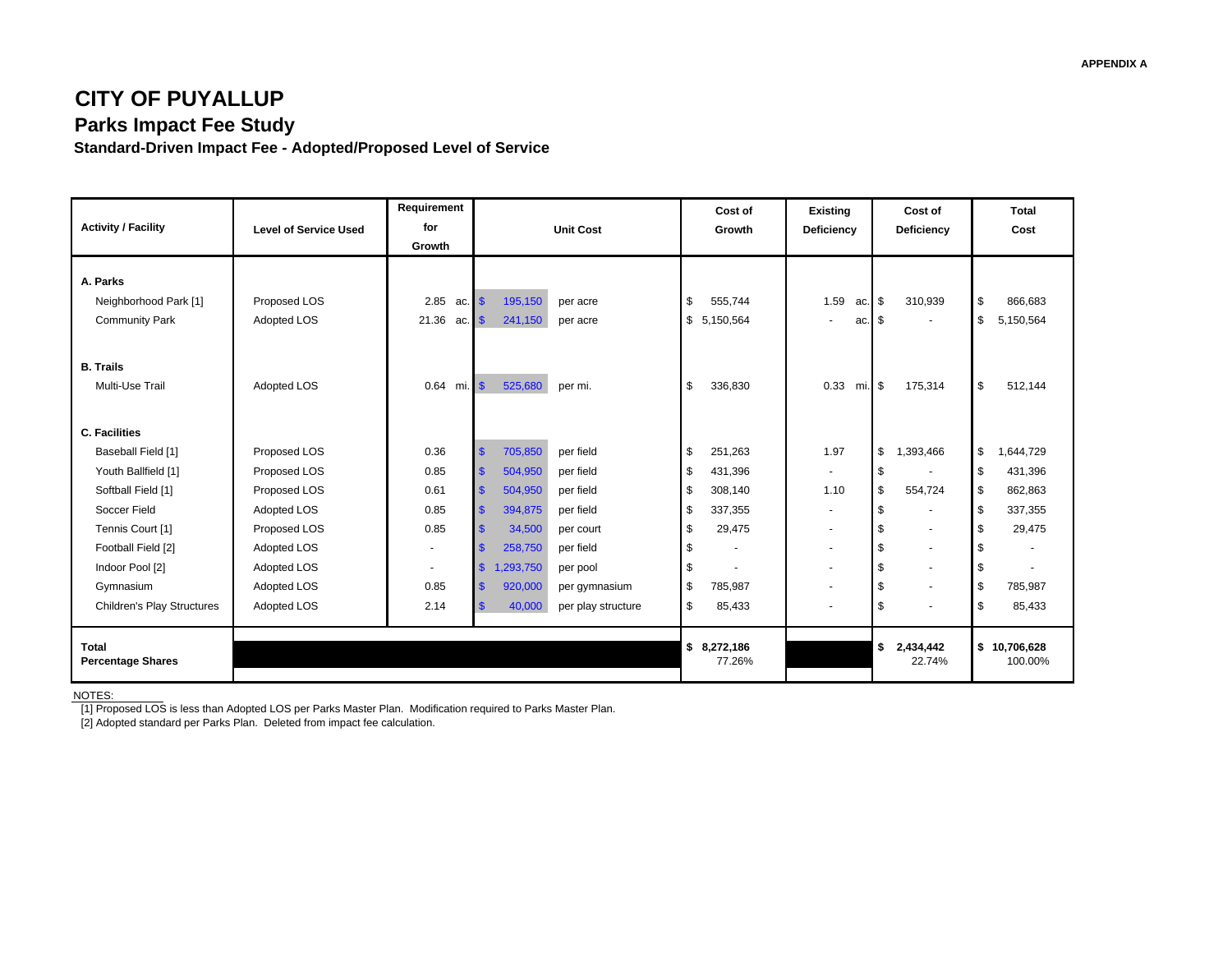### **CITY OF PUYALLUP Parks Impact Fee Study**

**Standard-Driven Impact Fee - Adopted/Proposed Level of Service**

|                                   |                              | Requirement               |                            |                    | Cost of                        | <b>Existing</b>          | Cost of         | Total           |
|-----------------------------------|------------------------------|---------------------------|----------------------------|--------------------|--------------------------------|--------------------------|-----------------|-----------------|
| <b>Activity / Facility</b>        | <b>Level of Service Used</b> | for                       |                            | <b>Unit Cost</b>   | Growth                         | Deficiency               | Deficiency      | Cost            |
|                                   |                              | Growth                    |                            |                    |                                |                          |                 |                 |
|                                   |                              |                           |                            |                    |                                |                          |                 |                 |
| A. Parks                          |                              |                           |                            |                    |                                |                          |                 |                 |
| Neighborhood Park [1]             | Proposed LOS                 | 2.85<br>ac.               | $\sqrt{3}$<br>195,150      | per acre           | \$<br>555,744                  | 1.59<br>ac.              | 310.939<br>l \$ | \$<br>866,683   |
| <b>Community Park</b>             | Adopted LOS                  | 21.36<br>$ac.$ $\sqrt{s}$ | 241,150                    | per acre           | \$5,150,564                    | ac.<br>$\sim$            | l \$            | \$<br>5,150,564 |
|                                   |                              |                           |                            |                    |                                |                          |                 |                 |
| <b>B.</b> Trails                  |                              |                           |                            |                    |                                |                          |                 |                 |
| Multi-Use Trail                   | Adopted LOS                  | $mi.$ $$$<br>0.64         | 525,680                    | per mi.            | \$<br>336,830                  | 0.33<br>$mi.$ \$         | 175,314         | \$<br>512.144   |
|                                   |                              |                           |                            |                    |                                |                          |                 |                 |
|                                   |                              |                           |                            |                    |                                |                          |                 |                 |
| <b>C. Facilities</b>              |                              |                           |                            |                    |                                |                          |                 |                 |
| Baseball Field [1]                | Proposed LOS                 | 0.36                      | \$<br>705,850              | per field          | \$<br>251,263                  | 1.97                     | 1,393,466<br>\$ | \$<br>1,644,729 |
| Youth Ballfield [1]               | Proposed LOS                 | 0.85                      | \$<br>504,950              | per field          | \$<br>431,396                  | $\overline{\phantom{a}}$ | - \$            | \$<br>431,396   |
| Softball Field [1]                | Proposed LOS                 | 0.61                      | $\mathbf{s}$<br>504,950    | per field          | \$<br>308,140                  | 1.10                     | 554,724<br>\$   | \$<br>862,863   |
| Soccer Field                      | Adopted LOS                  | 0.85                      | $\mathbf{s}$<br>394,875    | per field          | \$<br>337,355                  | $\sim$                   |                 | \$<br>337,355   |
| Tennis Court [1]                  | Proposed LOS                 | 0.85                      | $\mathbf{\$}$<br>34,500    | per court          | \$<br>29,475                   | $\overline{\phantom{a}}$ |                 | 29,475<br>\$    |
| Football Field [2]                | Adopted LOS                  | ٠                         | <b>\$</b><br>258,750       | per field          | \$<br>$\overline{\phantom{a}}$ | $\sim$                   |                 | \$              |
| Indoor Pool [2]                   | Adopted LOS                  | ٠                         | $\mathbf{\$}$<br>1,293,750 | per pool           | \$                             | $\sim$                   | $\blacksquare$  | \$              |
| Gymnasium                         | Adopted LOS                  | 0.85                      | $\mathbf{s}$<br>920,000    | per gymnasium      | \$<br>785,987                  | $\sim$                   |                 | \$<br>785,987   |
| <b>Children's Play Structures</b> | Adopted LOS                  | 2.14                      | $\mathbf{\$}$<br>40,000    | per play structure | \$<br>85,433                   | $\overline{\phantom{a}}$ |                 | \$<br>85,433    |
|                                   |                              |                           |                            |                    |                                |                          |                 |                 |
| <b>Total</b>                      |                              |                           |                            |                    | \$8,272,186                    |                          | 2,434,442<br>\$ | \$10,706,628    |
| <b>Percentage Shares</b>          |                              |                           |                            |                    | 77.26%                         |                          | 22.74%          | 100.00%         |

NOTES:

[1] Proposed LOS is less than Adopted LOS per Parks Master Plan. Modification required to Parks Master Plan.

[2] Adopted standard per Parks Plan. Deleted from impact fee calculation.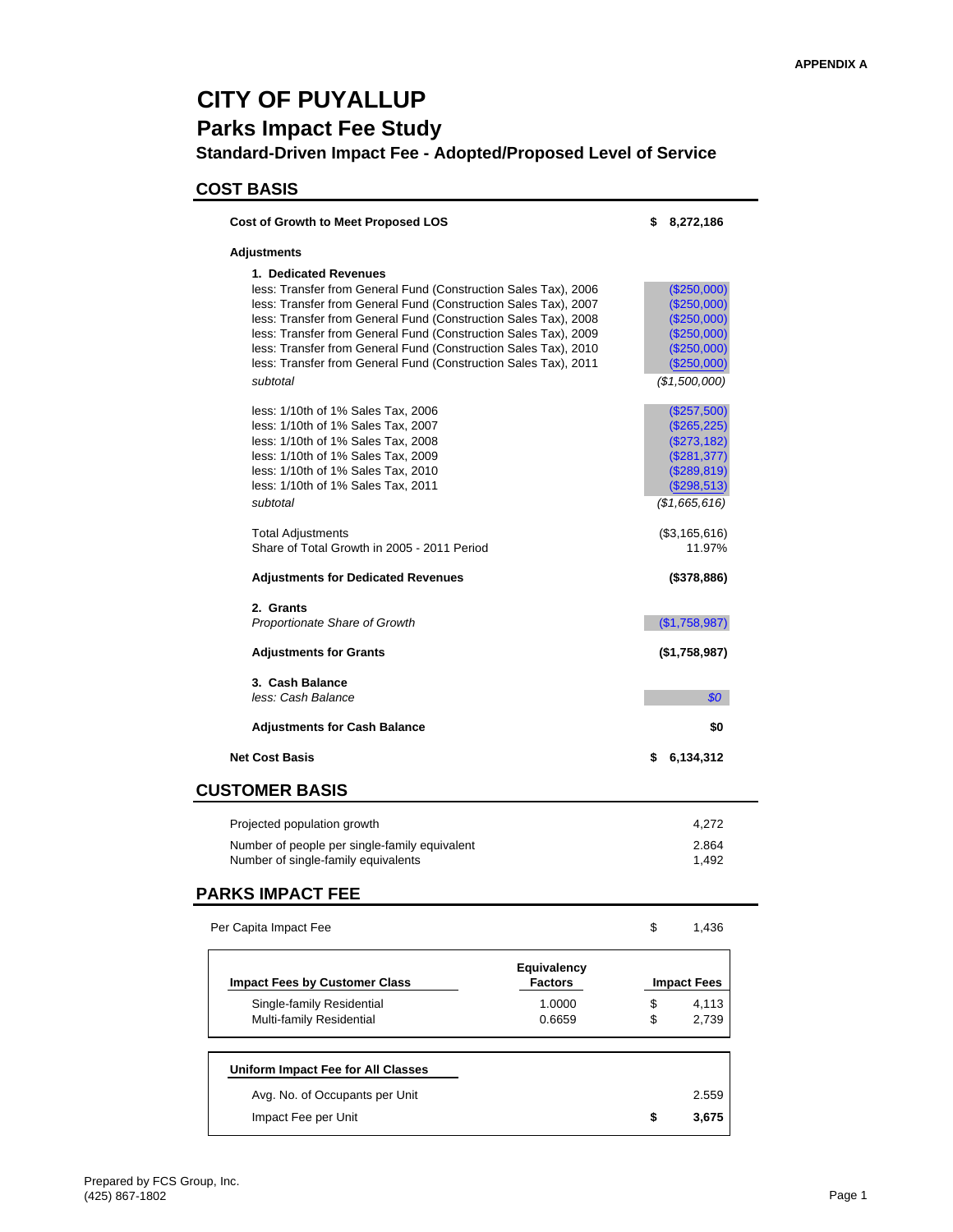## **CITY OF PUYALLUP**

### **Parks Impact Fee Study**

**Standard-Driven Impact Fee - Adopted/Proposed Level of Service**

#### **COST BASIS**

| <b>Cost of Growth to Meet Proposed LOS</b>                                                                                                                                                                                                                                                                                                                                                                                                          | \$       | 8,272,186                                                                                                         |
|-----------------------------------------------------------------------------------------------------------------------------------------------------------------------------------------------------------------------------------------------------------------------------------------------------------------------------------------------------------------------------------------------------------------------------------------------------|----------|-------------------------------------------------------------------------------------------------------------------|
| Adjustments                                                                                                                                                                                                                                                                                                                                                                                                                                         |          |                                                                                                                   |
| 1. Dedicated Revenues<br>less: Transfer from General Fund (Construction Sales Tax), 2006<br>less: Transfer from General Fund (Construction Sales Tax), 2007<br>less: Transfer from General Fund (Construction Sales Tax), 2008<br>less: Transfer from General Fund (Construction Sales Tax), 2009<br>less: Transfer from General Fund (Construction Sales Tax), 2010<br>less: Transfer from General Fund (Construction Sales Tax), 2011<br>subtotal |          | $(\$250,000)$<br>$(\$250,000)$<br>$(\$250,000)$<br>$(\$250,000)$<br>(\$250,000)<br>$(\$250,000)$<br>(\$1,500,000) |
| less: 1/10th of 1% Sales Tax, 2006<br>less: 1/10th of 1% Sales Tax, 2007<br>less: 1/10th of 1% Sales Tax, 2008<br>less: 1/10th of 1% Sales Tax, 2009<br>less: 1/10th of 1% Sales Tax, 2010<br>less: 1/10th of 1% Sales Tax, 2011<br>subtotal                                                                                                                                                                                                        |          | (\$257,500)<br>$(\$265,225)$<br>$(\$273,182)$<br>(\$281,377)<br>$(\$289,819)$<br>(\$298,513)<br>(\$1,665,616)     |
| <b>Total Adjustments</b><br>Share of Total Growth in 2005 - 2011 Period                                                                                                                                                                                                                                                                                                                                                                             |          | (\$3,165,616)<br>11.97%                                                                                           |
| <b>Adjustments for Dedicated Revenues</b>                                                                                                                                                                                                                                                                                                                                                                                                           |          | $($ \$378,886)                                                                                                    |
| 2. Grants<br><b>Proportionate Share of Growth</b>                                                                                                                                                                                                                                                                                                                                                                                                   |          | (S1,758,987)                                                                                                      |
| <b>Adjustments for Grants</b>                                                                                                                                                                                                                                                                                                                                                                                                                       |          | $($ \$1,758,987)                                                                                                  |
| 3. Cash Balance<br>less: Cash Balance                                                                                                                                                                                                                                                                                                                                                                                                               |          | 80                                                                                                                |
| <b>Adjustments for Cash Balance</b>                                                                                                                                                                                                                                                                                                                                                                                                                 |          | \$0                                                                                                               |
| <b>Net Cost Basis</b>                                                                                                                                                                                                                                                                                                                                                                                                                               | S        | 6,134,312                                                                                                         |
| <b>CUSTOMER BASIS</b>                                                                                                                                                                                                                                                                                                                                                                                                                               |          |                                                                                                                   |
| Projected population growth                                                                                                                                                                                                                                                                                                                                                                                                                         |          | 4,272                                                                                                             |
| Number of people per single-family equivalent<br>Number of single-family equivalents                                                                                                                                                                                                                                                                                                                                                                |          | 2.864<br>1,492                                                                                                    |
| <b>PARKS IMPACT FEE</b>                                                                                                                                                                                                                                                                                                                                                                                                                             |          |                                                                                                                   |
| Per Capita Impact Fee                                                                                                                                                                                                                                                                                                                                                                                                                               | \$       | 1,436                                                                                                             |
| <b>Equivalency</b><br><b>Impact Fees by Customer Class</b><br><b>Factors</b>                                                                                                                                                                                                                                                                                                                                                                        |          | <b>Impact Fees</b>                                                                                                |
| Single-family Residential<br>1.0000<br>Multi-family Residential<br>0.6659                                                                                                                                                                                                                                                                                                                                                                           | \$<br>\$ | 4,113<br>2,739                                                                                                    |
|                                                                                                                                                                                                                                                                                                                                                                                                                                                     |          |                                                                                                                   |
| Uniform Impact Fee for All Classes                                                                                                                                                                                                                                                                                                                                                                                                                  |          |                                                                                                                   |
| Avg. No. of Occupants per Unit                                                                                                                                                                                                                                                                                                                                                                                                                      |          | 2.559<br>3,675                                                                                                    |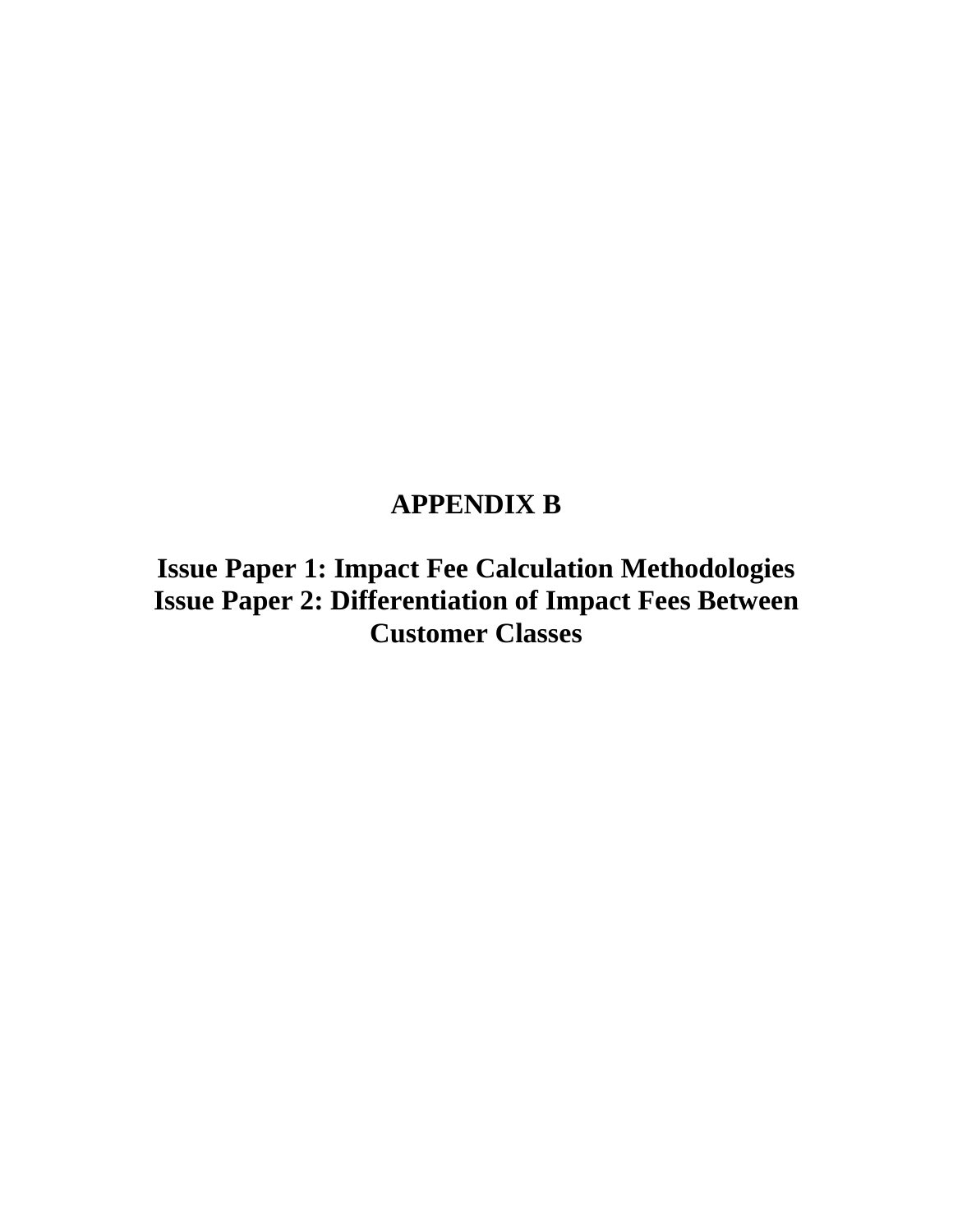## **APPENDIX B**

**Issue Paper 1: Impact Fee Calculation Methodologies Issue Paper 2: Differentiation of Impact Fees Between Customer Classes**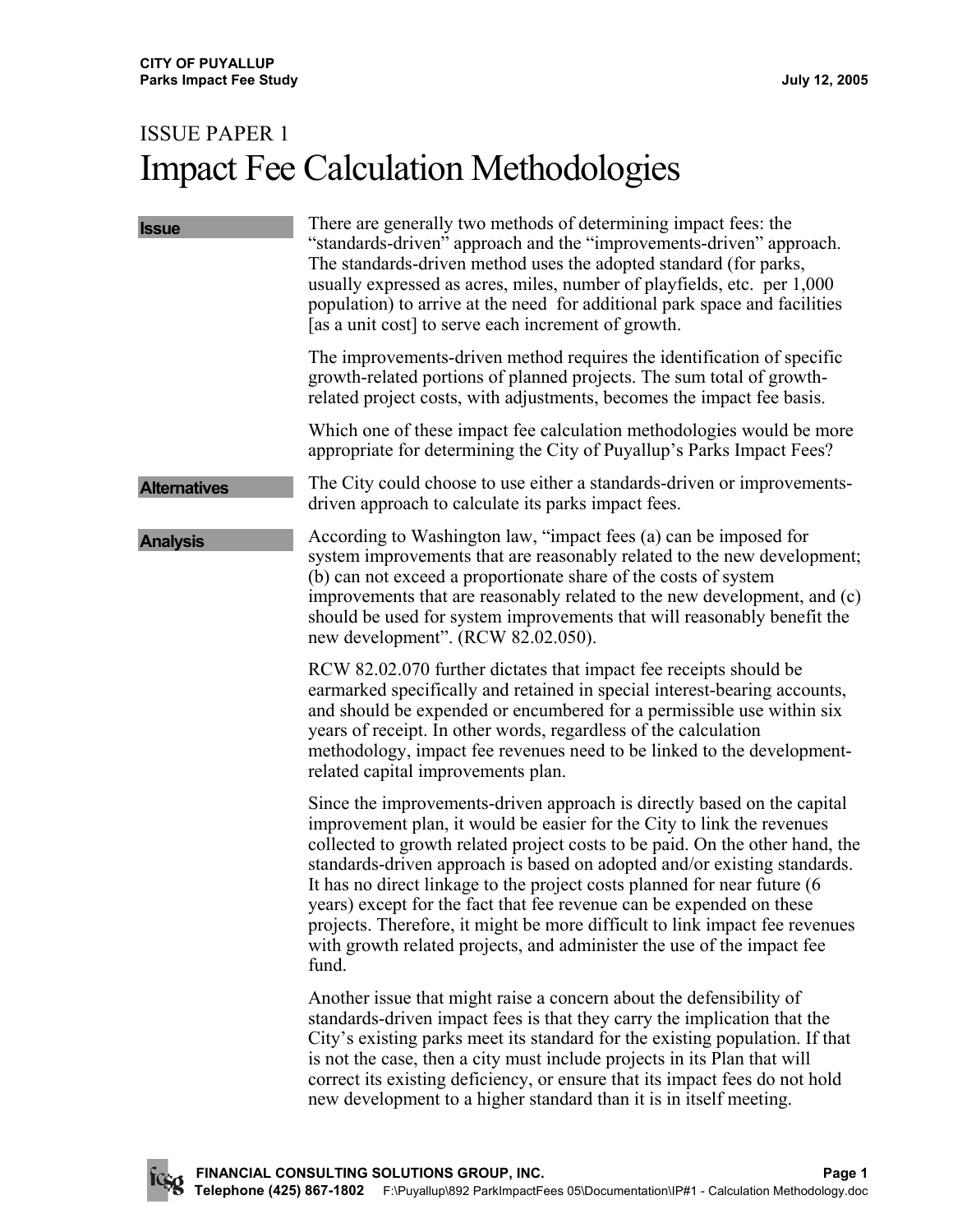# ISSUE PAPER 1 Impact Fee Calculation Methodologies

| <b>Issue</b>        | There are generally two methods of determining impact fees: the<br>"standards-driven" approach and the "improvements-driven" approach.<br>The standards-driven method uses the adopted standard (for parks,<br>usually expressed as acres, miles, number of playfields, etc. per 1,000<br>population) to arrive at the need for additional park space and facilities<br>[as a unit cost] to serve each increment of growth.                                                                                                                                                                                                          |
|---------------------|--------------------------------------------------------------------------------------------------------------------------------------------------------------------------------------------------------------------------------------------------------------------------------------------------------------------------------------------------------------------------------------------------------------------------------------------------------------------------------------------------------------------------------------------------------------------------------------------------------------------------------------|
|                     | The improvements-driven method requires the identification of specific<br>growth-related portions of planned projects. The sum total of growth-<br>related project costs, with adjustments, becomes the impact fee basis.                                                                                                                                                                                                                                                                                                                                                                                                            |
|                     | Which one of these impact fee calculation methodologies would be more<br>appropriate for determining the City of Puyallup's Parks Impact Fees?                                                                                                                                                                                                                                                                                                                                                                                                                                                                                       |
| <b>Alternatives</b> | The City could choose to use either a standards-driven or improvements-<br>driven approach to calculate its parks impact fees.                                                                                                                                                                                                                                                                                                                                                                                                                                                                                                       |
| <b>Analysis</b>     | According to Washington law, "impact fees (a) can be imposed for<br>system improvements that are reasonably related to the new development;<br>(b) can not exceed a proportionate share of the costs of system<br>improvements that are reasonably related to the new development, and (c)<br>should be used for system improvements that will reasonably benefit the<br>new development". (RCW 82.02.050).                                                                                                                                                                                                                          |
|                     | RCW 82.02.070 further dictates that impact fee receipts should be<br>earmarked specifically and retained in special interest-bearing accounts,<br>and should be expended or encumbered for a permissible use within six<br>years of receipt. In other words, regardless of the calculation<br>methodology, impact fee revenues need to be linked to the development-<br>related capital improvements plan.                                                                                                                                                                                                                           |
|                     | Since the improvements-driven approach is directly based on the capital<br>improvement plan, it would be easier for the City to link the revenues<br>collected to growth related project costs to be paid. On the other hand, the<br>standards-driven approach is based on adopted and/or existing standards.<br>It has no direct linkage to the project costs planned for near future (6)<br>years) except for the fact that fee revenue can be expended on these<br>projects. Therefore, it might be more difficult to link impact fee revenues<br>with growth related projects, and administer the use of the impact fee<br>fund. |
|                     | Another issue that might raise a concern about the defensibility of<br>standards-driven impact fees is that they carry the implication that the<br>City's existing parks meet its standard for the existing population. If that<br>is not the case, then a city must include projects in its Plan that will<br>correct its existing deficiency, or ensure that its impact fees do not hold<br>new development to a higher standard than it is in itself meeting.                                                                                                                                                                     |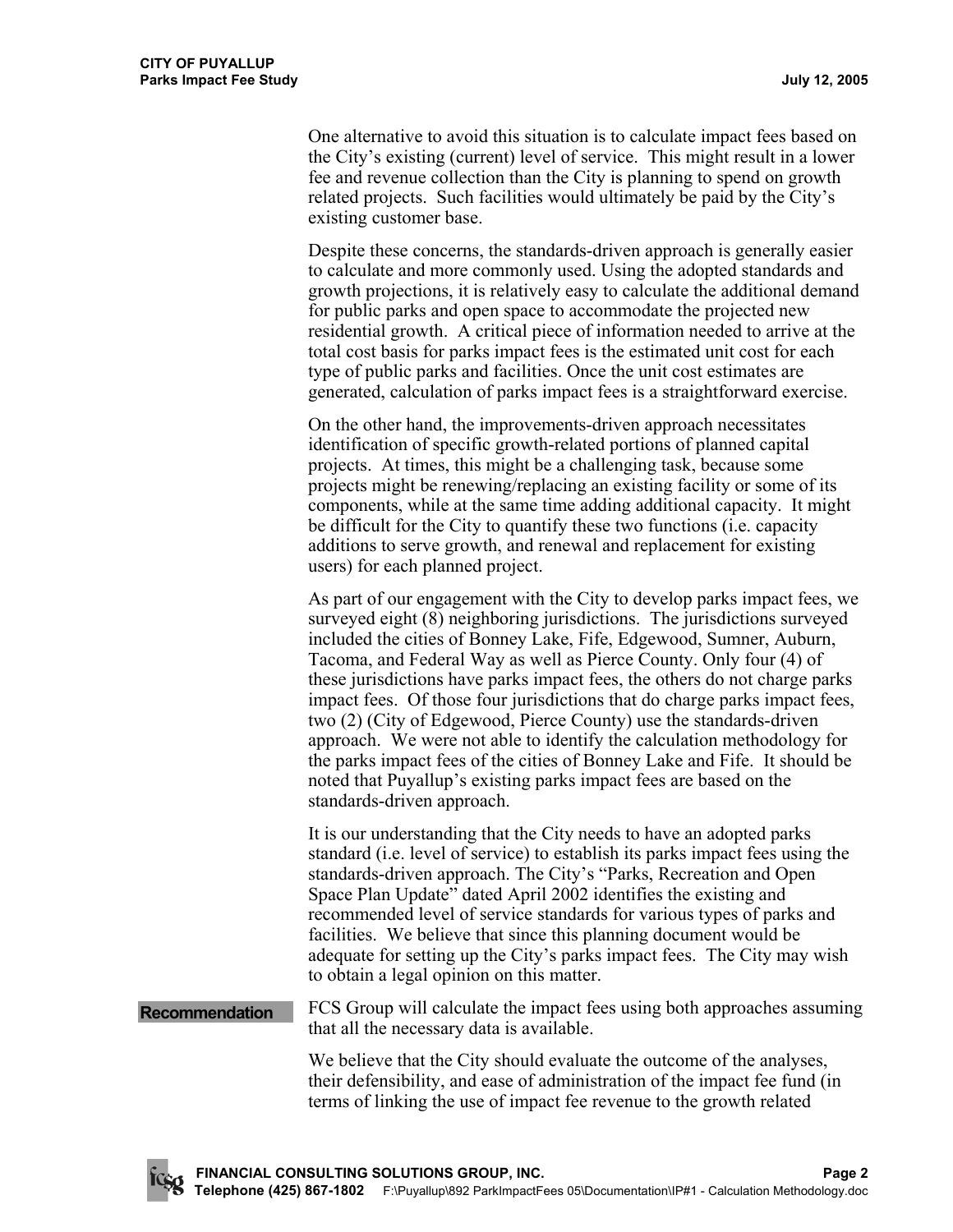One alternative to avoid this situation is to calculate impact fees based on the City's existing (current) level of service. This might result in a lower fee and revenue collection than the City is planning to spend on growth related projects. Such facilities would ultimately be paid by the City's existing customer base.

Despite these concerns, the standards-driven approach is generally easier to calculate and more commonly used. Using the adopted standards and growth projections, it is relatively easy to calculate the additional demand for public parks and open space to accommodate the projected new residential growth. A critical piece of information needed to arrive at the total cost basis for parks impact fees is the estimated unit cost for each type of public parks and facilities. Once the unit cost estimates are generated, calculation of parks impact fees is a straightforward exercise.

On the other hand, the improvements-driven approach necessitates identification of specific growth-related portions of planned capital projects. At times, this might be a challenging task, because some projects might be renewing/replacing an existing facility or some of its components, while at the same time adding additional capacity. It might be difficult for the City to quantify these two functions (i.e. capacity additions to serve growth, and renewal and replacement for existing users) for each planned project.

As part of our engagement with the City to develop parks impact fees, we surveyed eight (8) neighboring jurisdictions. The jurisdictions surveyed included the cities of Bonney Lake, Fife, Edgewood, Sumner, Auburn, Tacoma, and Federal Way as well as Pierce County. Only four (4) of these jurisdictions have parks impact fees, the others do not charge parks impact fees. Of those four jurisdictions that do charge parks impact fees, two (2) (City of Edgewood, Pierce County) use the standards-driven approach. We were not able to identify the calculation methodology for the parks impact fees of the cities of Bonney Lake and Fife. It should be noted that Puyallup's existing parks impact fees are based on the standards-driven approach.

It is our understanding that the City needs to have an adopted parks standard (i.e. level of service) to establish its parks impact fees using the standards-driven approach. The City's "Parks, Recreation and Open Space Plan Update" dated April 2002 identifies the existing and recommended level of service standards for various types of parks and facilities. We believe that since this planning document would be adequate for setting up the City's parks impact fees. The City may wish to obtain a legal opinion on this matter.

**Recommendation FCS** Group will calculate the impact fees using both approaches assuming that all the necessary data is available.

> We believe that the City should evaluate the outcome of the analyses, their defensibility, and ease of administration of the impact fee fund (in terms of linking the use of impact fee revenue to the growth related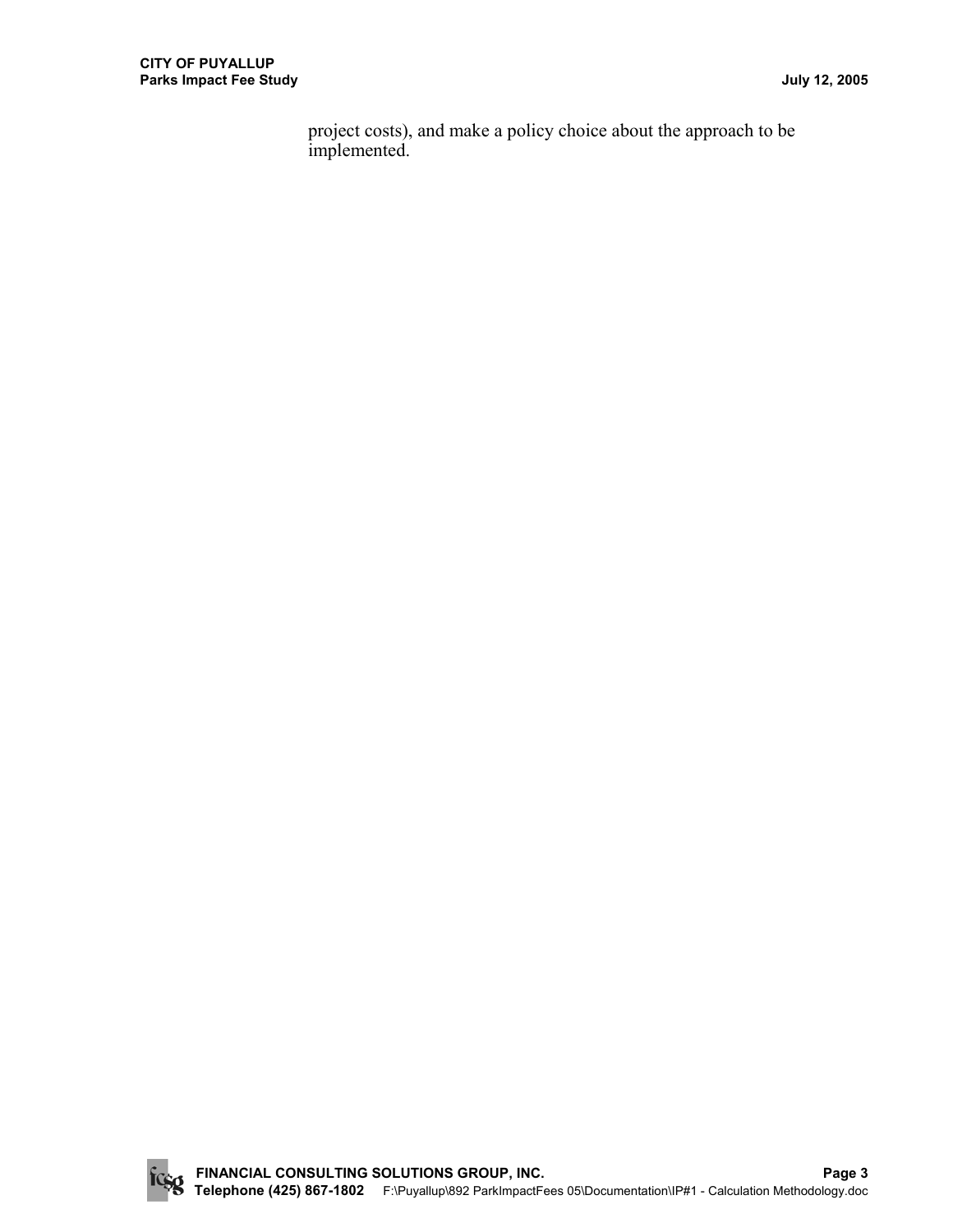project costs), and make a policy choice about the approach to be implemented.

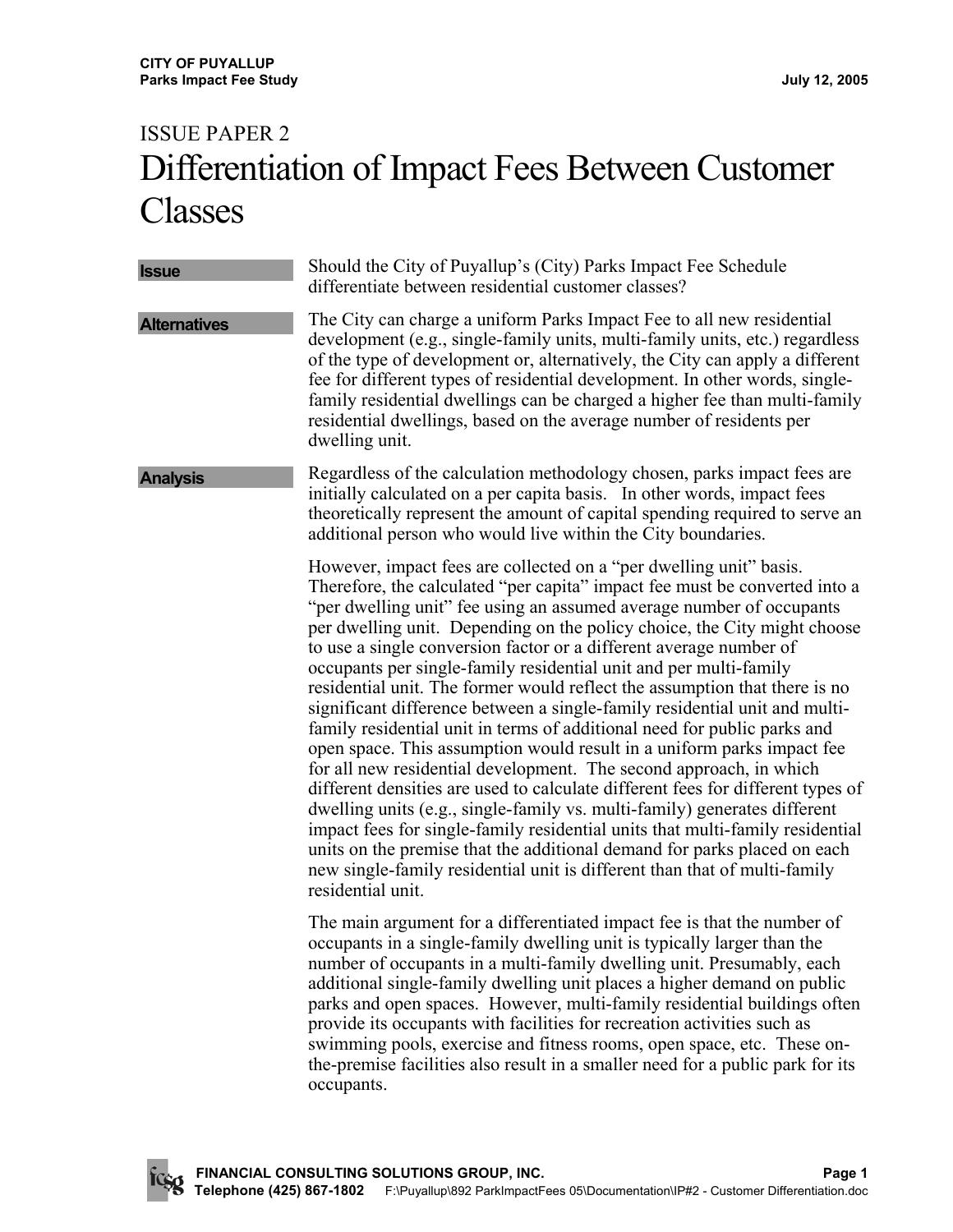# ISSUE PAPER 2 Differentiation of Impact Fees Between Customer Classes

**Issue** Should the City of Puyallup's (City) Parks Impact Fee Schedule differentiate between residential customer classes? **Alternatives** The City can charge a uniform Parks Impact Fee to all new residential development (e.g., single-family units, multi-family units, etc.) regardless of the type of development or, alternatively, the City can apply a different fee for different types of residential development. In other words, singlefamily residential dwellings can be charged a higher fee than multi-family residential dwellings, based on the average number of residents per dwelling unit. Analysis **Regardless of the calculation methodology chosen, parks impact fees are** initially calculated on a per capita basis. In other words, impact fees theoretically represent the amount of capital spending required to serve an additional person who would live within the City boundaries. However, impact fees are collected on a "per dwelling unit" basis. Therefore, the calculated "per capita" impact fee must be converted into a "per dwelling unit" fee using an assumed average number of occupants per dwelling unit. Depending on the policy choice, the City might choose to use a single conversion factor or a different average number of occupants per single-family residential unit and per multi-family residential unit. The former would reflect the assumption that there is no significant difference between a single-family residential unit and multifamily residential unit in terms of additional need for public parks and open space. This assumption would result in a uniform parks impact fee for all new residential development. The second approach, in which different densities are used to calculate different fees for different types of dwelling units (e.g., single-family vs. multi-family) generates different impact fees for single-family residential units that multi-family residential units on the premise that the additional demand for parks placed on each new single-family residential unit is different than that of multi-family residential unit. The main argument for a differentiated impact fee is that the number of occupants in a single-family dwelling unit is typically larger than the number of occupants in a multi-family dwelling unit. Presumably, each additional single-family dwelling unit places a higher demand on public parks and open spaces. However, multi-family residential buildings often provide its occupants with facilities for recreation activities such as swimming pools, exercise and fitness rooms, open space, etc. These on-

occupants.

the-premise facilities also result in a smaller need for a public park for its